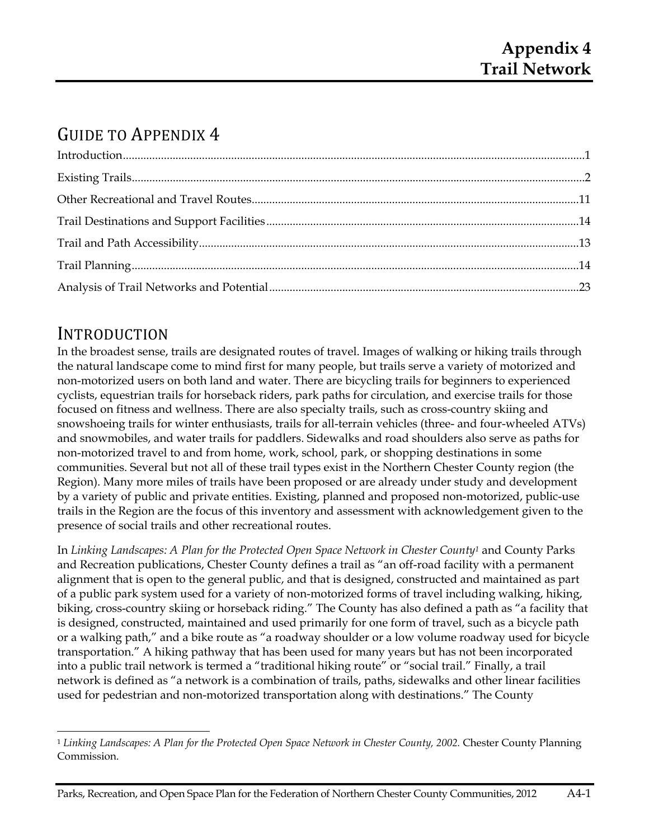# GUIDE TO APPENDIX 4

# INTRODUCTION

<u> Andreas Andreas Andreas Andreas Andreas Andreas Andreas Andreas Andreas Andreas Andreas Andreas Andreas Andreas</u>

In the broadest sense, trails are designated routes of travel. Images of walking or hiking trails through the natural landscape come to mind first for many people, but trails serve a variety of motorized and non-motorized users on both land and water. There are bicycling trails for beginners to experienced cyclists, equestrian trails for horseback riders, park paths for circulation, and exercise trails for those focused on fitness and wellness. There are also specialty trails, such as cross-country skiing and snowshoeing trails for winter enthusiasts, trails for all-terrain vehicles (three- and four-wheeled ATVs) and snowmobiles, and water trails for paddlers. Sidewalks and road shoulders also serve as paths for non-motorized travel to and from home, work, school, park, or shopping destinations in some communities. Several but not all of these trail types exist in the Northern Chester County region (the Region). Many more miles of trails have been proposed or are already under study and development by a variety of public and private entities. Existing, planned and proposed non-motorized, public-use trails in the Region are the focus of this inventory and assessment with acknowledgement given to the presence of social trails and other recreational routes.

In *Linking Landscapes: A Plan for the Protected Open Space Network in Chester County1* and County Parks and Recreation publications, Chester County defines a trail as "an off-road facility with a permanent alignment that is open to the general public, and that is designed, constructed and maintained as part of a public park system used for a variety of non-motorized forms of travel including walking, hiking, biking, cross-country skiing or horseback riding." The County has also defined a path as "a facility that is designed, constructed, maintained and used primarily for one form of travel, such as a bicycle path or a walking path," and a bike route as "a roadway shoulder or a low volume roadway used for bicycle transportation." A hiking pathway that has been used for many years but has not been incorporated into a public trail network is termed a "traditional hiking route" or "social trail." Finally, a trail network is defined as "a network is a combination of trails, paths, sidewalks and other linear facilities used for pedestrian and non-motorized transportation along with destinations." The County

<sup>&</sup>lt;sup>1</sup> Linking Landscapes: A Plan for the Protected Open Space Network in Chester County, 2002. Chester County Planning Commission.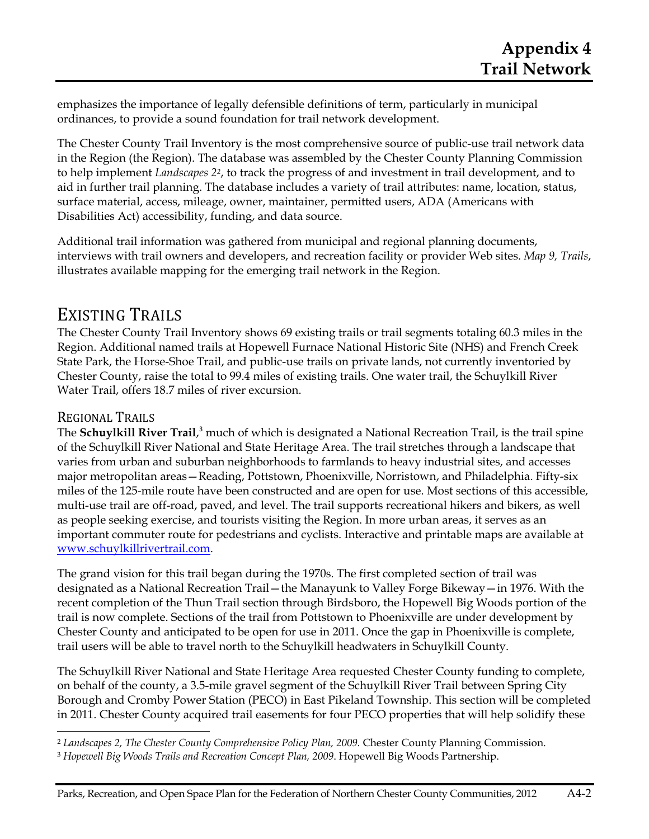emphasizes the importance of legally defensible definitions of term, particularly in municipal ordinances, to provide a sound foundation for trail network development.

The Chester County Trail Inventory is the most comprehensive source of public-use trail network data in the Region (the Region). The database was assembled by the Chester County Planning Commission to help implement *Landscapes 22*, to track the progress of and investment in trail development, and to aid in further trail planning. The database includes a variety of trail attributes: name, location, status, surface material, access, mileage, owner, maintainer, permitted users, ADA (Americans with Disabilities Act) accessibility, funding, and data source.

Additional trail information was gathered from municipal and regional planning documents, interviews with trail owners and developers, and recreation facility or provider Web sites. *Map 9, Trails*, illustrates available mapping for the emerging trail network in the Region.

# EXISTING TRAILS

The Chester County Trail Inventory shows 69 existing trails or trail segments totaling 60.3 miles in the Region. Additional named trails at Hopewell Furnace National Historic Site (NHS) and French Creek State Park, the Horse-Shoe Trail, and public-use trails on private lands, not currently inventoried by Chester County, raise the total to 99.4 miles of existing trails. One water trail, the Schuylkill River Water Trail, offers 18.7 miles of river excursion.

# REGIONAL TRAILS

The **Schuylkill River Trail**,<sup>3</sup> much of which is designated a National Recreation Trail, is the trail spine of the Schuylkill River National and State Heritage Area. The trail stretches through a landscape that varies from urban and suburban neighborhoods to farmlands to heavy industrial sites, and accesses major metropolitan areas—Reading, Pottstown, Phoenixville, Norristown, and Philadelphia. Fifty-six miles of the 125-mile route have been constructed and are open for use. Most sections of this accessible, multi-use trail are off-road, paved, and level. The trail supports recreational hikers and bikers, as well as people seeking exercise, and tourists visiting the Region. In more urban areas, it serves as an important commuter route for pedestrians and cyclists. Interactive and printable maps are available at www.schuylkillrivertrail.com.

The grand vision for this trail began during the 1970s. The first completed section of trail was designated as a National Recreation Trail—the Manayunk to Valley Forge Bikeway—in 1976. With the recent completion of the Thun Trail section through Birdsboro, the Hopewell Big Woods portion of the trail is now complete. Sections of the trail from Pottstown to Phoenixville are under development by Chester County and anticipated to be open for use in 2011. Once the gap in Phoenixville is complete, trail users will be able to travel north to the Schuylkill headwaters in Schuylkill County.

The Schuylkill River National and State Heritage Area requested Chester County funding to complete, on behalf of the county, a 3.5-mile gravel segment of the Schuylkill River Trail between Spring City Borough and Cromby Power Station (PECO) in East Pikeland Township. This section will be completed in 2011. Chester County acquired trail easements for four PECO properties that will help solidify these

<sup>&</sup>lt;u> Andreas Andreas Andreas Andreas Andreas Andreas Andreas Andreas Andreas Andreas Andreas Andreas Andreas Andreas</u> <sup>2</sup> Landscapes 2, The Chester County Comprehensive Policy Plan, 2009. Chester County Planning Commission.

<sup>3</sup> *Hopewell Big Woods Trails and Recreation Concept Plan, 2009*. Hopewell Big Woods Partnership.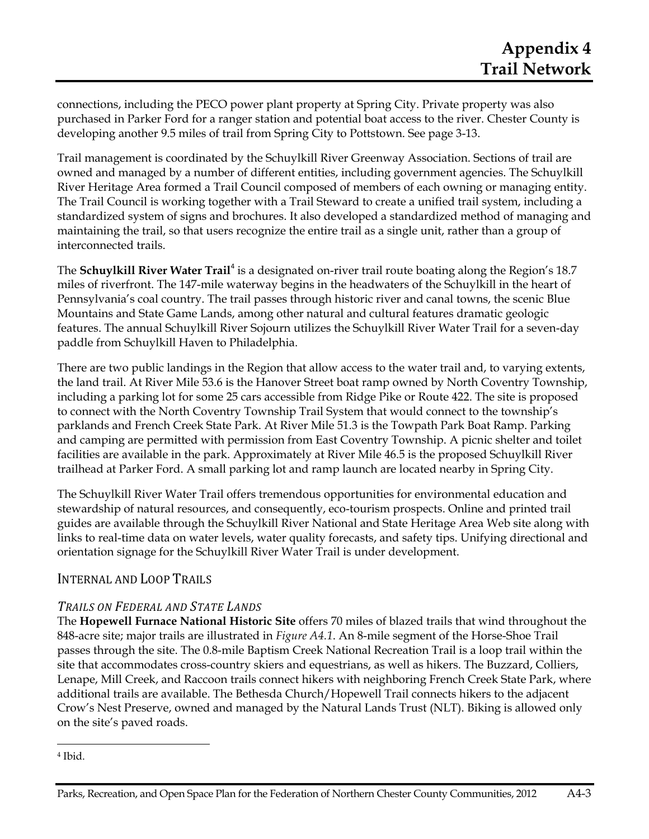connections, including the PECO power plant property at Spring City. Private property was also purchased in Parker Ford for a ranger station and potential boat access to the river. Chester County is developing another 9.5 miles of trail from Spring City to Pottstown. See page 3-13.

Trail management is coordinated by the Schuylkill River Greenway Association. Sections of trail are owned and managed by a number of different entities, including government agencies. The Schuylkill River Heritage Area formed a Trail Council composed of members of each owning or managing entity. The Trail Council is working together with a Trail Steward to create a unified trail system, including a standardized system of signs and brochures. It also developed a standardized method of managing and maintaining the trail, so that users recognize the entire trail as a single unit, rather than a group of interconnected trails.

The **Schuylkill River Water Trail**<sup>4</sup> is a designated on-river trail route boating along the Region's 18.7 miles of riverfront. The 147-mile waterway begins in the headwaters of the Schuylkill in the heart of Pennsylvania's coal country. The trail passes through historic river and canal towns, the scenic Blue Mountains and State Game Lands, among other natural and cultural features dramatic geologic features. The annual Schuylkill River Sojourn utilizes the Schuylkill River Water Trail for a seven-day paddle from Schuylkill Haven to Philadelphia.

There are two public landings in the Region that allow access to the water trail and, to varying extents, the land trail. At River Mile 53.6 is the Hanover Street boat ramp owned by North Coventry Township, including a parking lot for some 25 cars accessible from Ridge Pike or Route 422. The site is proposed to connect with the North Coventry Township Trail System that would connect to the township's parklands and French Creek State Park. At River Mile 51.3 is the Towpath Park Boat Ramp. Parking and camping are permitted with permission from East Coventry Township. A picnic shelter and toilet facilities are available in the park. Approximately at River Mile 46.5 is the proposed Schuylkill River trailhead at Parker Ford. A small parking lot and ramp launch are located nearby in Spring City.

The Schuylkill River Water Trail offers tremendous opportunities for environmental education and stewardship of natural resources, and consequently, eco-tourism prospects. Online and printed trail guides are available through the Schuylkill River National and State Heritage Area Web site along with links to real-time data on water levels, water quality forecasts, and safety tips. Unifying directional and orientation signage for the Schuylkill River Water Trail is under development.

# INTERNAL AND LOOP TRAILS

### *TRAILS ON FEDERAL AND STATE LANDS*

The **Hopewell Furnace National Historic Site** offers 70 miles of blazed trails that wind throughout the 848-acre site; major trails are illustrated in *Figure A4.1*. An 8-mile segment of the Horse-Shoe Trail passes through the site. The 0.8-mile Baptism Creek National Recreation Trail is a loop trail within the site that accommodates cross-country skiers and equestrians, as well as hikers. The Buzzard, Colliers, Lenape, Mill Creek, and Raccoon trails connect hikers with neighboring French Creek State Park, where additional trails are available. The Bethesda Church/Hopewell Trail connects hikers to the adjacent Crow's Nest Preserve, owned and managed by the Natural Lands Trust (NLT). Biking is allowed only on the site's paved roads.

<sup>4</sup> Ibid.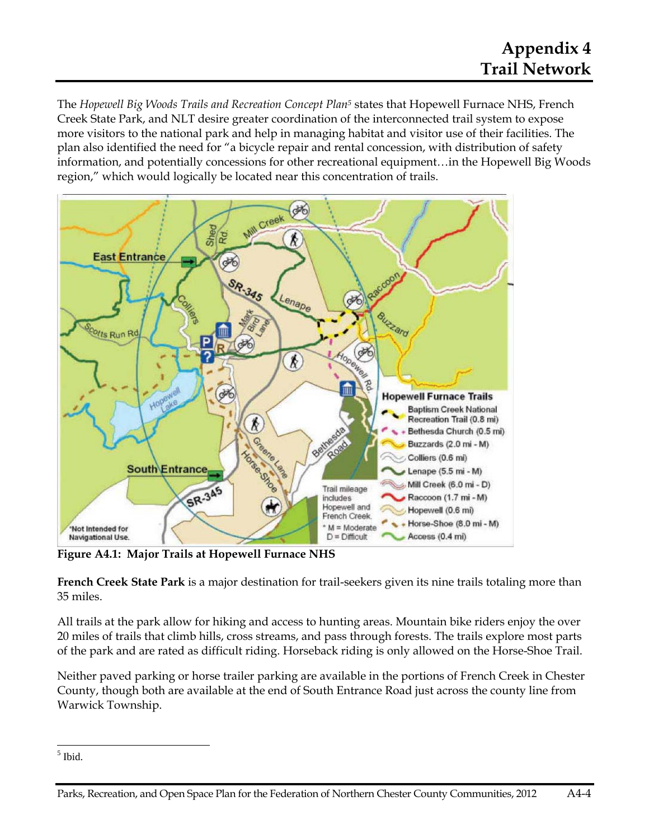The *Hopewell Big Woods Trails and Recreation Concept Plan5* states that Hopewell Furnace NHS, French Creek State Park, and NLT desire greater coordination of the interconnected trail system to expose more visitors to the national park and help in managing habitat and visitor use of their facilities. The plan also identified the need for "a bicycle repair and rental concession, with distribution of safety information, and potentially concessions for other recreational equipment…in the Hopewell Big Woods region," which would logically be located near this concentration of trails.



**Figure A4.1: Major Trails at Hopewell Furnace NHS** 

**French Creek State Park** is a major destination for trail-seekers given its nine trails totaling more than 35 miles.

All trails at the park allow for hiking and access to hunting areas. Mountain bike riders enjoy the over 20 miles of trails that climb hills, cross streams, and pass through forests. The trails explore most parts of the park and are rated as difficult riding. Horseback riding is only allowed on the Horse-Shoe Trail.

Neither paved parking or horse trailer parking are available in the portions of French Creek in Chester County, though both are available at the end of South Entrance Road just across the county line from Warwick Township.

 5 Ibid.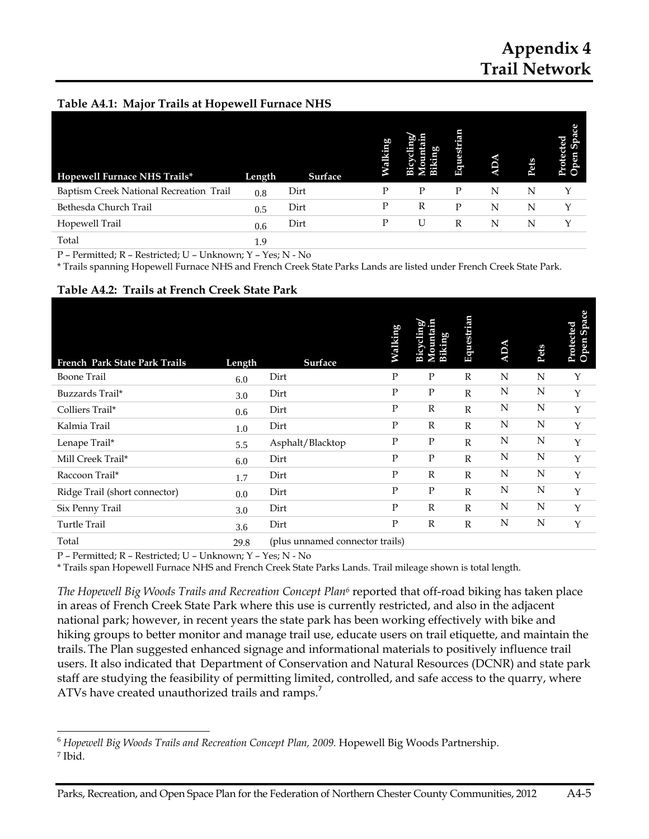# **Appendix 4 Trail Network**

#### **Table A4.1: Major Trails at Hopewell Furnace NHS**

| Hopewell Furnace NHS Trails*            | Length | Surface | ā |   | ω<br>ω<br>囝 |   | Pets | Protected<br>pen |
|-----------------------------------------|--------|---------|---|---|-------------|---|------|------------------|
| Baptism Creek National Recreation Trail | 0.8    | Dirt    | Р | P | P           | N | N    |                  |
| Bethesda Church Trail                   | 0.5    | Dirt    | Ρ | R | P           | N | N    |                  |
| Hopewell Trail                          | 0.6    | Dirt    | Ρ | U | R           | N | N    |                  |
| Total                                   | 1.9    |         |   |   |             |   |      |                  |

P – Permitted; R – Restricted; U – Unknown; Y – Yes; N - No

\* Trails spanning Hopewell Furnace NHS and French Creek State Parks Lands are listed under French Creek State Park.

#### **Table A4.2: Trails at French Creek State Park**

| French Park State Park Trails | Length | <b>Surface</b>                  | Walking      | Aountain<br>Bicycling<br><b>Biking</b> | Equestrian   | <b>ADA</b> | Pets | Space<br>Protected<br>Open Spa |
|-------------------------------|--------|---------------------------------|--------------|----------------------------------------|--------------|------------|------|--------------------------------|
| <b>Boone Trail</b>            | 6.0    | Dirt                            | P            | P                                      | $\mathbb{R}$ | N          | N    | Y                              |
| Buzzards Trail*               | 3.0    | Dirt                            | P            | P                                      | $\mathbb{R}$ | N          | N    | Y                              |
| Colliers Trail*               | 0.6    | Dirt                            | $\mathbf{P}$ | $\mathbb{R}$                           | $\mathbb{R}$ | N          | N    | Y                              |
| Kalmia Trail                  | 1.0    | Dirt                            | P            | R                                      | $\mathbb{R}$ | N          | N    | Y                              |
| Lenape Trail*                 | 5.5    | Asphalt/Blacktop                | $\mathbf{P}$ | $\mathbf{P}$                           | $\mathbb{R}$ | N          | N    | Y                              |
| Mill Creek Trail*             | 6.0    | Dirt                            | P            | ${\bf P}$                              | $\mathbb{R}$ | N          | N    | Y                              |
| Raccoon Trail*                | 1.7    | Dirt                            | P            | R                                      | $\mathbb{R}$ | N          | N    | Y                              |
| Ridge Trail (short connector) | 0.0    | Dirt                            | $\mathbf{P}$ | $\mathbf P$                            | $\mathbb{R}$ | N          | N    | $\mathbf Y$                    |
| Six Penny Trail               | 3.0    | Dirt                            | P            | R                                      | $\mathbb{R}$ | N          | N    | Y                              |
| <b>Turtle Trail</b>           | 3.6    | Dirt                            | $\mathbf{P}$ | $\mathbb{R}$                           | $\mathbb{R}$ | N          | N    | Y                              |
| Total                         | 29.8   | (plus unnamed connector trails) |              |                                        |              |            |      |                                |

P – Permitted; R – Restricted; U – Unknown; Y – Yes; N - No

<u> 1989 - Johann Stein, marwolaethau a bh</u>

\* Trails span Hopewell Furnace NHS and French Creek State Parks Lands. Trail mileage shown is total length.

*The Hopewell Big Woods Trails and Recreation Concept Plan6* reported that off-road biking has taken place in areas of French Creek State Park where this use is currently restricted, and also in the adjacent national park; however, in recent years the state park has been working effectively with bike and hiking groups to better monitor and manage trail use, educate users on trail etiquette, and maintain the trails. The Plan suggested enhanced signage and informational materials to positively influence trail users. It also indicated that Department of Conservation and Natural Resources (DCNR) and state park staff are studying the feasibility of permitting limited, controlled, and safe access to the quarry, where ATVs have created unauthorized trails and ramps.<sup>7</sup>

<sup>6</sup> *Hopewell Big Woods Trails and Recreation Concept Plan, 2009.* Hopewell Big Woods Partnership. 7 Ibid.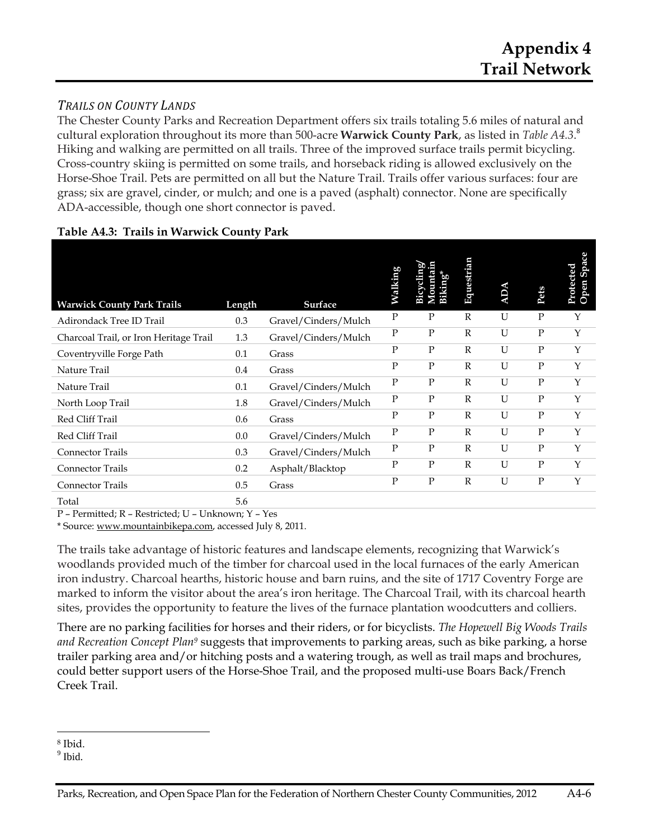# *TRAILS ON COUNTY LANDS*

The Chester County Parks and Recreation Department offers six trails totaling 5.6 miles of natural and cultural exploration throughout its more than 500-acre **Warwick County Park**, as listed in *Table A4.3*. 8 Hiking and walking are permitted on all trails. Three of the improved surface trails permit bicycling. Cross-country skiing is permitted on some trails, and horseback riding is allowed exclusively on the Horse-Shoe Trail. Pets are permitted on all but the Nature Trail. Trails offer various surfaces: four are grass; six are gravel, cinder, or mulch; and one is a paved (asphalt) connector. None are specifically ADA-accessible, though one short connector is paved.

| <b>Warwick County Park Trails</b>      | Length | <b>Surface</b>       | Walking      | Mountain<br>Bicycling<br><b>Biking</b> * | Equestrian   | <b>ADA</b> | Pets         | Protected<br>Open Space |
|----------------------------------------|--------|----------------------|--------------|------------------------------------------|--------------|------------|--------------|-------------------------|
| Adirondack Tree ID Trail               | 0.3    | Gravel/Cinders/Mulch | $\mathbf{P}$ | $\mathbf{P}$                             | $\mathbb{R}$ | U          | $\mathbf{P}$ | Y                       |
| Charcoal Trail, or Iron Heritage Trail | 1.3    | Gravel/Cinders/Mulch | $\mathbf{P}$ | $\mathbf{P}$                             | $\mathbb{R}$ | U          | $\mathbf{P}$ | Y                       |
| Coventryville Forge Path               | 0.1    | Grass                | $\mathbf{P}$ | $\mathbf{P}$                             | $\mathbb{R}$ | U          | $\mathbf{P}$ | Y                       |
| Nature Trail                           | 0.4    | Grass                | $\mathbf{P}$ | $\mathbf{P}$                             | $\mathbb{R}$ | U          | $\mathbf{P}$ | Y                       |
| Nature Trail                           | 0.1    | Gravel/Cinders/Mulch | P            | $\mathbf{P}$                             | $\mathbb{R}$ | U          | $\mathbf{P}$ | Y                       |
| North Loop Trail                       | 1.8    | Gravel/Cinders/Mulch | $\mathbf{P}$ | P                                        | $\mathbb{R}$ | U          | $\mathbf{P}$ | Y                       |
| Red Cliff Trail                        | 0.6    | Grass                | $\mathbf{P}$ | $\mathbf{P}$                             | $\mathbb{R}$ | U          | $\mathbf{P}$ | Y                       |
| Red Cliff Trail                        | 0.0    | Gravel/Cinders/Mulch | P            | $\mathbf{P}$                             | $\mathbb{R}$ | U          | P            | Y                       |
| Connector Trails                       | 0.3    | Gravel/Cinders/Mulch | P            | $\mathbf{P}$                             | $\mathbb{R}$ | U          | $\mathbf{P}$ | Y                       |
| <b>Connector Trails</b>                | 0.2    | Asphalt/Blacktop     | P            | $\mathbf{P}$                             | $\mathbb{R}$ | U          | $\mathbf P$  | Y                       |
| Connector Trails                       | 0.5    | Grass                | P            | ${\bf P}$                                | $\mathbb{R}$ | U          | $\mathbf{P}$ | Y                       |
| Total                                  | 5.6    |                      |              |                                          |              |            |              |                         |

#### **Table A4.3: Trails in Warwick County Park**

P – Permitted; R – Restricted; U – Unknown; Y – Yes

\* Source: www.mountainbikepa.com, accessed July 8, 2011.

The trails take advantage of historic features and landscape elements, recognizing that Warwick's woodlands provided much of the timber for charcoal used in the local furnaces of the early American iron industry. Charcoal hearths, historic house and barn ruins, and the site of 1717 Coventry Forge are marked to inform the visitor about the area's iron heritage. The Charcoal Trail, with its charcoal hearth sites, provides the opportunity to feature the lives of the furnace plantation woodcutters and colliers.

There are no parking facilities for horses and their riders, or for bicyclists. *The Hopewell Big Woods Trails and Recreation Concept Plan9* suggests that improvements to parking areas, such as bike parking, a horse trailer parking area and/or hitching posts and a watering trough, as well as trail maps and brochures, could better support users of the Horse-Shoe Trail, and the proposed multi-use Boars Back/French Creek Trail.

<sup>8</sup> Ibid.

<sup>&</sup>lt;sup>9</sup> Ibid.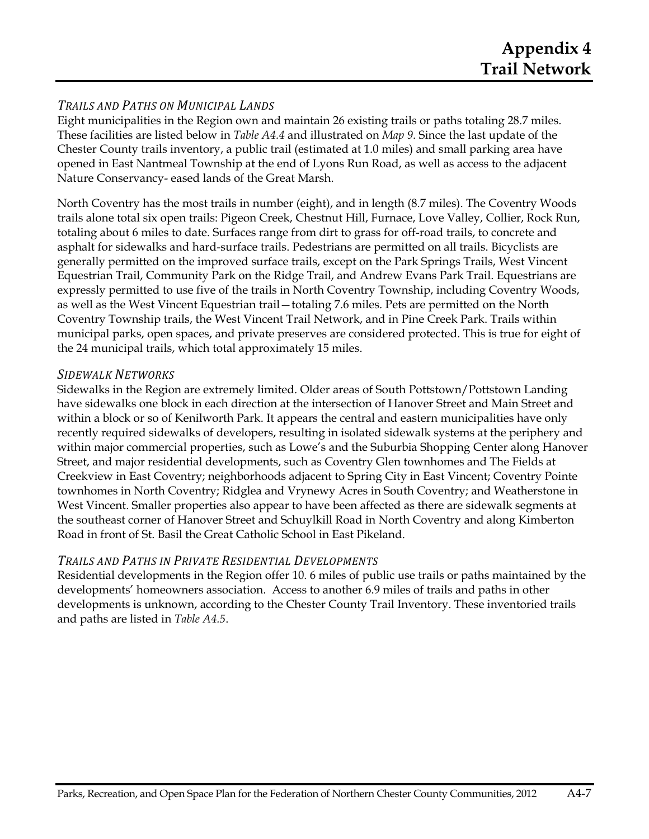### *TRAILS AND PATHS ON MUNICIPAL LANDS*

Eight municipalities in the Region own and maintain 26 existing trails or paths totaling 28.7 miles. These facilities are listed below in *Table A4.4* and illustrated on *Map 9*. Since the last update of the Chester County trails inventory, a public trail (estimated at 1.0 miles) and small parking area have opened in East Nantmeal Township at the end of Lyons Run Road, as well as access to the adjacent Nature Conservancy- eased lands of the Great Marsh.

North Coventry has the most trails in number (eight), and in length (8.7 miles). The Coventry Woods trails alone total six open trails: Pigeon Creek, Chestnut Hill, Furnace, Love Valley, Collier, Rock Run, totaling about 6 miles to date. Surfaces range from dirt to grass for off-road trails, to concrete and asphalt for sidewalks and hard-surface trails. Pedestrians are permitted on all trails. Bicyclists are generally permitted on the improved surface trails, except on the Park Springs Trails, West Vincent Equestrian Trail, Community Park on the Ridge Trail, and Andrew Evans Park Trail. Equestrians are expressly permitted to use five of the trails in North Coventry Township, including Coventry Woods, as well as the West Vincent Equestrian trail—totaling 7.6 miles. Pets are permitted on the North Coventry Township trails, the West Vincent Trail Network, and in Pine Creek Park. Trails within municipal parks, open spaces, and private preserves are considered protected. This is true for eight of the 24 municipal trails, which total approximately 15 miles.

#### *SIDEWALK NETWORKS*

Sidewalks in the Region are extremely limited. Older areas of South Pottstown/Pottstown Landing have sidewalks one block in each direction at the intersection of Hanover Street and Main Street and within a block or so of Kenilworth Park. It appears the central and eastern municipalities have only recently required sidewalks of developers, resulting in isolated sidewalk systems at the periphery and within major commercial properties, such as Lowe's and the Suburbia Shopping Center along Hanover Street, and major residential developments, such as Coventry Glen townhomes and The Fields at Creekview in East Coventry; neighborhoods adjacent to Spring City in East Vincent; Coventry Pointe townhomes in North Coventry; Ridglea and Vrynewy Acres in South Coventry; and Weatherstone in West Vincent. Smaller properties also appear to have been affected as there are sidewalk segments at the southeast corner of Hanover Street and Schuylkill Road in North Coventry and along Kimberton Road in front of St. Basil the Great Catholic School in East Pikeland.

#### *TRAILS AND PATHS IN PRIVATE RESIDENTIAL DEVELOPMENTS*

Residential developments in the Region offer 10. 6 miles of public use trails or paths maintained by the developments' homeowners association. Access to another 6.9 miles of trails and paths in other developments is unknown, according to the Chester County Trail Inventory. These inventoried trails and paths are listed in *Table A4.5*.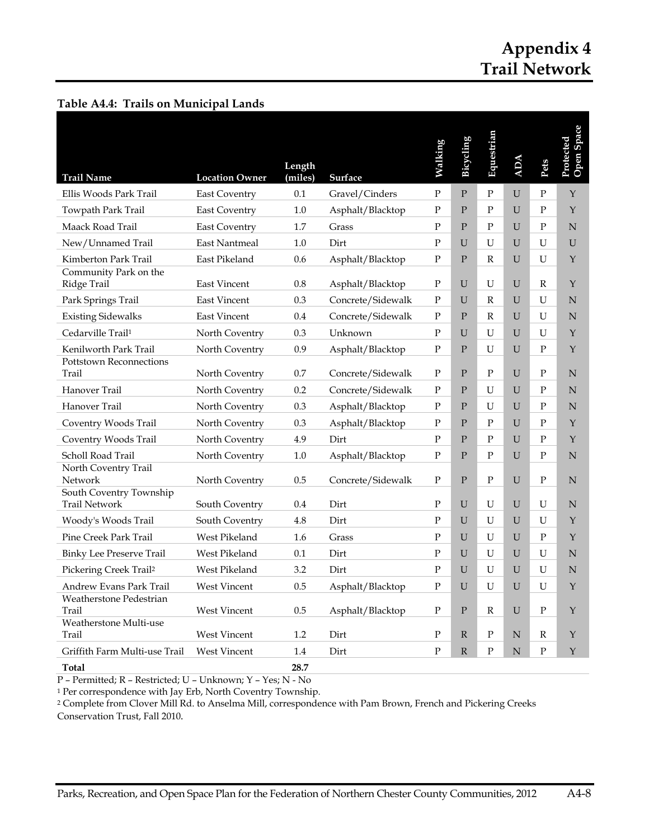# **Appendix 4 Trail Network**

| <b>Trail Name</b>                               | <b>Location Owner</b> | Length<br>(miles) | Surface           | Walking      | <b>Bicycling</b> | Equestrian   | <b>ADA</b>  | Pets         | Open Space<br>Protected |
|-------------------------------------------------|-----------------------|-------------------|-------------------|--------------|------------------|--------------|-------------|--------------|-------------------------|
| Ellis Woods Park Trail                          | <b>East Coventry</b>  | 0.1               | Gravel/Cinders    | $\mathbf{P}$ | P                | $\mathbf{P}$ | U           | ${\bf P}$    | $\mathbf Y$             |
| Towpath Park Trail                              | <b>East Coventry</b>  | $1.0\,$           | Asphalt/Blacktop  | ${\bf P}$    | P                | $\mathbf{P}$ | U           | $\mathbf{P}$ | $\mathbf{Y}$            |
| Maack Road Trail                                | <b>East Coventry</b>  | 1.7               | Grass             | $\mathbf{P}$ | $\mathbf{P}$     | $\mathbf{P}$ | $\mathbf U$ | $\mathbf P$  | $\mathbf N$             |
| New/Unnamed Trail                               | East Nantmeal         | 1.0               | Dirt              | P            | U                | U            | U           | U            | $\mathbf U$             |
| Kimberton Park Trail                            | East Pikeland         | 0.6               | Asphalt/Blacktop  | ${\bf P}$    | ${\bf P}$        | $\mathbb{R}$ | U           | U            | $\mathbf{Y}$            |
| Community Park on the<br>Ridge Trail            | East Vincent          | 0.8               | Asphalt/Blacktop  | $\mathbf{P}$ | U                | U            | $\mathbf U$ | R            | Y                       |
| Park Springs Trail                              | <b>East Vincent</b>   | 0.3               | Concrete/Sidewalk | $\mathbf{P}$ | U                | R            | U           | U            | N                       |
| <b>Existing Sidewalks</b>                       | <b>East Vincent</b>   | 0.4               | Concrete/Sidewalk | $\mathbf{P}$ | $\mathbf{P}$     | R            | $\mathbf U$ | U            | N                       |
| Cedarville Trail <sup>1</sup>                   | North Coventry        | 0.3               | Unknown           | $\mathbf{P}$ | U                | U            | U           | U            | $\mathbf{Y}$            |
| Kenilworth Park Trail                           | North Coventry        | 0.9               | Asphalt/Blacktop  | ${\bf P}$    | P                | U            | U           | P            | $\mathbf{Y}$            |
| <b>Pottstown Reconnections</b><br>Trail         | North Coventry        | 0.7               | Concrete/Sidewalk | $\mathbf{P}$ | $\mathbf{P}$     | $\mathbf{P}$ | U           | $\mathbf{P}$ | N                       |
| Hanover Trail                                   | North Coventry        | 0.2               | Concrete/Sidewalk | ${\bf P}$    | P                | U            | U           | $\mathbf{P}$ | $\mathbf N$             |
| Hanover Trail                                   | North Coventry        | 0.3               | Asphalt/Blacktop  | ${\bf P}$    | P                | U            | U           | $\mathbf{P}$ | $\mathbf N$             |
| Coventry Woods Trail                            | North Coventry        | 0.3               | Asphalt/Blacktop  | $\mathbf{P}$ | P                | P            | U           | $\mathbf{P}$ | Y                       |
| Coventry Woods Trail                            | North Coventry        | 4.9               | Dirt              | $\mathbf{P}$ | P                | P            | U           | P            | $\mathbf{Y}$            |
| Scholl Road Trail                               | North Coventry        | 1.0               | Asphalt/Blacktop  | $\mathbf{P}$ | $\mathbf{P}$     | $\mathbf{P}$ | U           | ${\bf P}$    | N                       |
| North Coventry Trail<br>Network                 | North Coventry        | 0.5               | Concrete/Sidewalk | $\mathbf{P}$ | $\mathbf{P}$     | $\mathbf{P}$ | $\mathbf U$ | $\mathbf P$  | $\mathbf N$             |
| South Coventry Township<br><b>Trail Network</b> | South Coventry        | 0.4               | Dirt              | ${\bf P}$    | U                | U            | U           | U            | N                       |
| Woody's Woods Trail                             | South Coventry        | 4.8               | Dirt              | $\mathbf{P}$ | U                | U            | U           | U            | $\mathbf{Y}$            |
| Pine Creek Park Trail                           | West Pikeland         | 1.6               | Grass             | $\mathbf{P}$ | U                | U            | U           | P            | $\mathbf{Y}$            |
| <b>Binky Lee Preserve Trail</b>                 | West Pikeland         | 0.1               | Dirt              | $\mathbf{P}$ | U                | U            | U           | U            | $\mathbf N$             |
| Pickering Creek Trail <sup>2</sup>              | West Pikeland         | 3.2               | Dirt              | $\mathbf{P}$ | $\mathbf U$      | U            | $\mathbf U$ | U            | N                       |
| Andrew Evans Park Trail                         | West Vincent          | 0.5               | Asphalt/Blacktop  | ${\bf P}$    | ${\bf U}$        | ${\bf U}$    | ${\bf U}$   | ${\bf U}$    | $\mathbf Y$             |
| Weatherstone Pedestrian<br>Trail                | West Vincent          | 0.5               | Asphalt/Blacktop  | ${\bf P}$    | $\mathbf{P}$     | $\mathbb{R}$ | $\mathbf U$ | ${\bf P}$    | $\mathbf Y$             |
| Weatherstone Multi-use<br>Trail                 | West Vincent          | 1.2               | Dirt              | ${\bf P}$    | $\mathbb{R}$     | ${\bf P}$    | $\mathbf N$ | R            | Y                       |
| Griffith Farm Multi-use Trail                   | West Vincent          | 1.4               | Dirt              | $\mathbf{P}$ | $\mathbb R$      | ${\bf P}$    | $\mathbf N$ | ${\bf P}$    | Y                       |
| <b>Total</b>                                    |                       | 28.7              |                   |              |                  |              |             |              |                         |

#### **Table A4.4: Trails on Municipal Lands**

P – Permitted; R – Restricted; U – Unknown; Y – Yes; N - No

1 Per correspondence with Jay Erb, North Coventry Township.

2 Complete from Clover Mill Rd. to Anselma Mill, correspondence with Pam Brown, French and Pickering Creeks Conservation Trust, Fall 2010.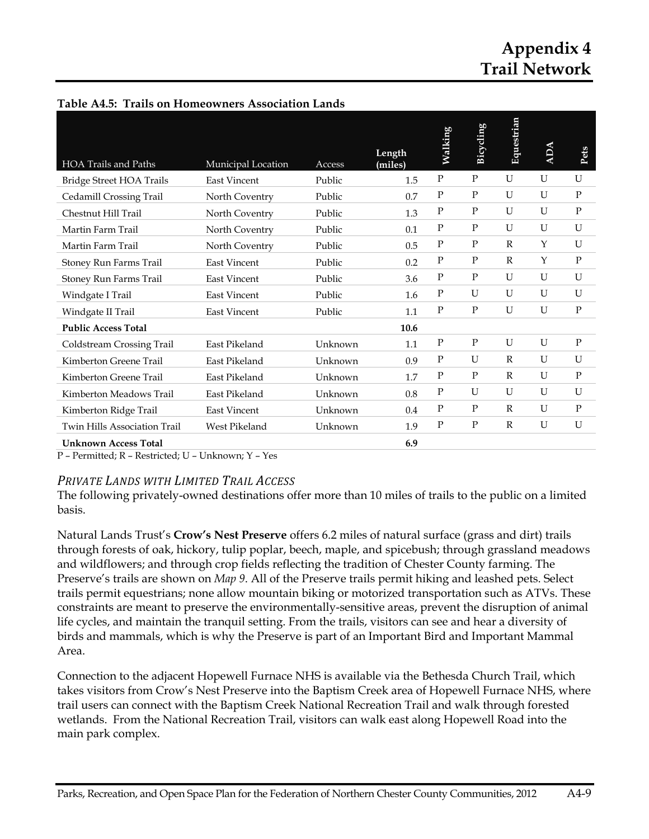# **Appendix 4 Trail Network**

| <b>HOA Trails and Paths</b>         | Municipal Location  | Access  | Length<br>(miles) | Walking      | Bicycling    | Equestrian   | <b>ADA</b> | Pets         |
|-------------------------------------|---------------------|---------|-------------------|--------------|--------------|--------------|------------|--------------|
| <b>Bridge Street HOA Trails</b>     | <b>East Vincent</b> | Public  | 1.5               | $\mathbf{P}$ | $\mathbf P$  | U            | U          | U            |
| Cedamill Crossing Trail             | North Coventry      | Public  | 0.7               | $\mathbf P$  | $\mathbf{P}$ | U            | U          | $\mathbf{P}$ |
| Chestnut Hill Trail                 | North Coventry      | Public  | 1.3               | $\mathbf{P}$ | $\mathbf{P}$ | U            | U          | $\mathbf P$  |
| Martin Farm Trail                   | North Coventry      | Public  | 0.1               | $\mathbf P$  | $\mathbf{P}$ | U            | U          | U            |
| Martin Farm Trail                   | North Coventry      | Public  | 0.5               | P            | $\mathbf{P}$ | $\mathbb{R}$ | Y          | U            |
| Stoney Run Farms Trail              | <b>East Vincent</b> | Public  | 0.2               | $\mathbf{P}$ | $\mathbf{P}$ | $\mathbb{R}$ | Y          | $\mathbf P$  |
| Stoney Run Farms Trail              | <b>East Vincent</b> | Public  | 3.6               | $\mathbf{P}$ | $\mathbf{P}$ | U            | U          | U            |
| Windgate I Trail                    | <b>East Vincent</b> | Public  | 1.6               | $\mathbf{P}$ | U            | U            | U          | U            |
| Windgate II Trail                   | <b>East Vincent</b> | Public  | 1.1               | ${\bf P}$    | $\mathbf{P}$ | U            | U          | ${\bf P}$    |
| <b>Public Access Total</b>          |                     |         | 10.6              |              |              |              |            |              |
| Coldstream Crossing Trail           | East Pikeland       | Unknown | 1.1               | $\mathbf{P}$ | $\mathbf{P}$ | U            | U          | $\mathbf P$  |
| Kimberton Greene Trail              | East Pikeland       | Unknown | 0.9               | $\mathbf P$  | U            | $\mathbb{R}$ | U          | U            |
| Kimberton Greene Trail              | East Pikeland       | Unknown | 1.7               | $\mathbf{P}$ | $\mathbf{P}$ | R            | U          | P            |
| Kimberton Meadows Trail             | East Pikeland       | Unknown | 0.8               | ${\bf P}$    | U            | U            | U          | U            |
| Kimberton Ridge Trail               | <b>East Vincent</b> | Unknown | 0.4               | $\mathbf{P}$ | $\mathbf{P}$ | R            | U          | $\mathbf{P}$ |
| <b>Twin Hills Association Trail</b> | West Pikeland       | Unknown | 1.9               | $\mathbf{P}$ | $\mathbf{P}$ | R            | U          | U            |
| <b>Unknown Access Total</b>         |                     |         | 6.9               |              |              |              |            |              |

#### **Table A4.5: Trails on Homeowners Association Lands**

P – Permitted; R – Restricted; U – Unknown; Y – Yes

#### *PRIVATE LANDS WITH LIMITED TRAIL ACCESS*

The following privately-owned destinations offer more than 10 miles of trails to the public on a limited basis.

Natural Lands Trust's **Crow's Nest Preserve** offers 6.2 miles of natural surface (grass and dirt) trails through forests of oak, hickory, tulip poplar, beech, maple, and spicebush; through grassland meadows and wildflowers; and through crop fields reflecting the tradition of Chester County farming. The Preserve's trails are shown on *Map 9*. All of the Preserve trails permit hiking and leashed pets. Select trails permit equestrians; none allow mountain biking or motorized transportation such as ATVs. These constraints are meant to preserve the environmentally-sensitive areas, prevent the disruption of animal life cycles, and maintain the tranquil setting. From the trails, visitors can see and hear a diversity of birds and mammals, which is why the Preserve is part of an Important Bird and Important Mammal Area.

Connection to the adjacent Hopewell Furnace NHS is available via the Bethesda Church Trail, which takes visitors from Crow's Nest Preserve into the Baptism Creek area of Hopewell Furnace NHS, where trail users can connect with the Baptism Creek National Recreation Trail and walk through forested wetlands. From the National Recreation Trail, visitors can walk east along Hopewell Road into the main park complex.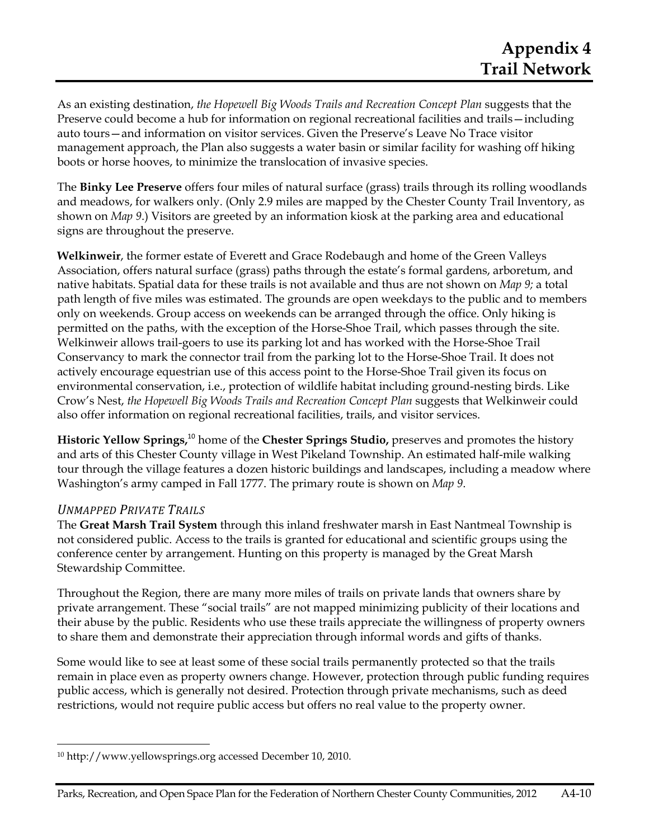As an existing destination, *the Hopewell Big Woods Trails and Recreation Concept Plan* suggests that the Preserve could become a hub for information on regional recreational facilities and trails—including auto tours—and information on visitor services. Given the Preserve's Leave No Trace visitor management approach, the Plan also suggests a water basin or similar facility for washing off hiking boots or horse hooves, to minimize the translocation of invasive species.

The **Binky Lee Preserve** offers four miles of natural surface (grass) trails through its rolling woodlands and meadows, for walkers only. (Only 2.9 miles are mapped by the Chester County Trail Inventory, as shown on *Map 9*.) Visitors are greeted by an information kiosk at the parking area and educational signs are throughout the preserve.

**Welkinweir**, the former estate of Everett and Grace Rodebaugh and home of the Green Valleys Association, offers natural surface (grass) paths through the estate's formal gardens, arboretum, and native habitats. Spatial data for these trails is not available and thus are not shown on *Map 9;* a total path length of five miles was estimated. The grounds are open weekdays to the public and to members only on weekends. Group access on weekends can be arranged through the office. Only hiking is permitted on the paths, with the exception of the Horse-Shoe Trail, which passes through the site. Welkinweir allows trail-goers to use its parking lot and has worked with the Horse-Shoe Trail Conservancy to mark the connector trail from the parking lot to the Horse-Shoe Trail. It does not actively encourage equestrian use of this access point to the Horse-Shoe Trail given its focus on environmental conservation, i.e., protection of wildlife habitat including ground-nesting birds. Like Crow's Nest, *the Hopewell Big Woods Trails and Recreation Concept Plan* suggests that Welkinweir could also offer information on regional recreational facilities, trails, and visitor services.

**Historic Yellow Springs,**<sup>10</sup> home of the **Chester Springs Studio,** preserves and promotes the history and arts of this Chester County village in West Pikeland Township. An estimated half-mile walking tour through the village features a dozen historic buildings and landscapes, including a meadow where Washington's army camped in Fall 1777. The primary route is shown on *Map 9*.

#### *UNMAPPED PRIVATE TRAILS*

The **Great Marsh Trail System** through this inland freshwater marsh in East Nantmeal Township is not considered public. Access to the trails is granted for educational and scientific groups using the conference center by arrangement. Hunting on this property is managed by the Great Marsh Stewardship Committee.

Throughout the Region, there are many more miles of trails on private lands that owners share by private arrangement. These "social trails" are not mapped minimizing publicity of their locations and their abuse by the public. Residents who use these trails appreciate the willingness of property owners to share them and demonstrate their appreciation through informal words and gifts of thanks.

Some would like to see at least some of these social trails permanently protected so that the trails remain in place even as property owners change. However, protection through public funding requires public access, which is generally not desired. Protection through private mechanisms, such as deed restrictions, would not require public access but offers no real value to the property owner.

 10 http://www.yellowsprings.org accessed December 10, 2010.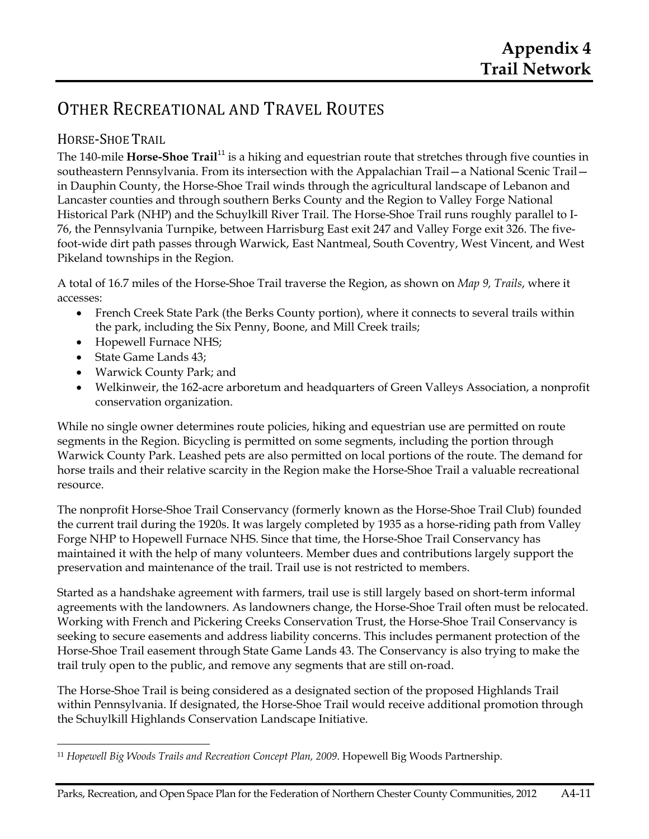# OTHER RECREATIONAL AND TRAVEL ROUTES

# HORSE‐SHOE TRAIL

The 140-mile **Horse-Shoe Trail**<sup>11</sup> is a hiking and equestrian route that stretches through five counties in southeastern Pennsylvania. From its intersection with the Appalachian Trail—a National Scenic Trail in Dauphin County, the Horse-Shoe Trail winds through the agricultural landscape of Lebanon and Lancaster counties and through southern Berks County and the Region to Valley Forge National Historical Park (NHP) and the Schuylkill River Trail. The Horse-Shoe Trail runs roughly parallel to I-76, the Pennsylvania Turnpike, between Harrisburg East exit 247 and Valley Forge exit 326. The fivefoot-wide dirt path passes through Warwick, East Nantmeal, South Coventry, West Vincent, and West Pikeland townships in the Region.

A total of 16.7 miles of the Horse-Shoe Trail traverse the Region, as shown on *Map 9, Trails*, where it accesses:

- French Creek State Park (the Berks County portion), where it connects to several trails within the park, including the Six Penny, Boone, and Mill Creek trails;
- Hopewell Furnace NHS;
- State Game Lands 43;
- Warwick County Park; and
- Welkinweir, the 162-acre arboretum and headquarters of Green Valleys Association, a nonprofit conservation organization.

While no single owner determines route policies, hiking and equestrian use are permitted on route segments in the Region. Bicycling is permitted on some segments, including the portion through Warwick County Park. Leashed pets are also permitted on local portions of the route. The demand for horse trails and their relative scarcity in the Region make the Horse-Shoe Trail a valuable recreational resource.

The nonprofit Horse-Shoe Trail Conservancy (formerly known as the Horse-Shoe Trail Club) founded the current trail during the 1920s. It was largely completed by 1935 as a horse-riding path from Valley Forge NHP to Hopewell Furnace NHS. Since that time, the Horse-Shoe Trail Conservancy has maintained it with the help of many volunteers. Member dues and contributions largely support the preservation and maintenance of the trail. Trail use is not restricted to members.

Started as a handshake agreement with farmers, trail use is still largely based on short-term informal agreements with the landowners. As landowners change, the Horse-Shoe Trail often must be relocated. Working with French and Pickering Creeks Conservation Trust, the Horse-Shoe Trail Conservancy is seeking to secure easements and address liability concerns. This includes permanent protection of the Horse-Shoe Trail easement through State Game Lands 43. The Conservancy is also trying to make the trail truly open to the public, and remove any segments that are still on-road.

The Horse-Shoe Trail is being considered as a designated section of the proposed Highlands Trail within Pennsylvania. If designated, the Horse-Shoe Trail would receive additional promotion through the Schuylkill Highlands Conservation Landscape Initiative.

 <sup>11</sup> *Hopewell Big Woods Trails and Recreation Concept Plan, 2009*. Hopewell Big Woods Partnership.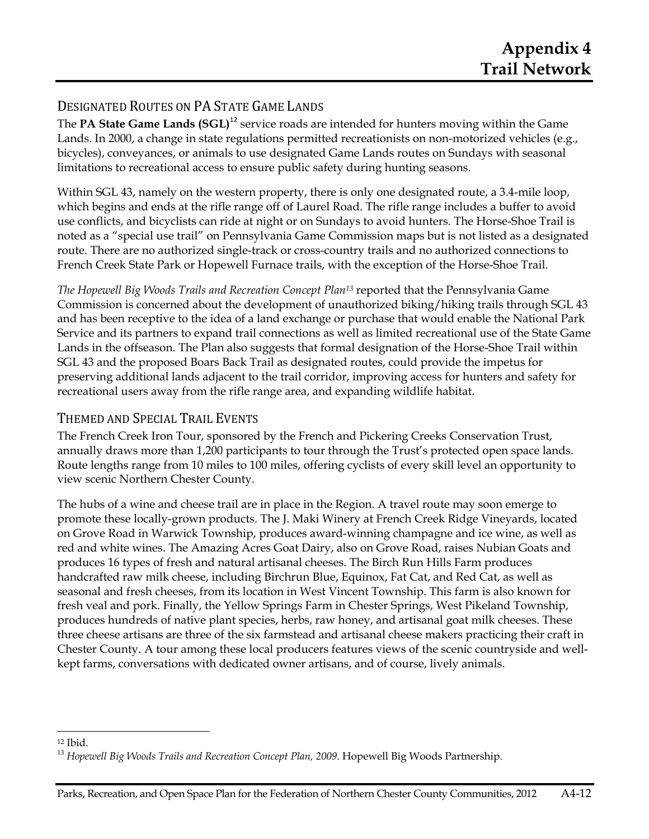# DESIGNATED ROUTES ON PA STATE GAME LANDS

The **PA State Game Lands (SGL)**<sup>12</sup> service roads are intended for hunters moving within the Game Lands. In 2000, a change in state regulations permitted recreationists on non-motorized vehicles (e.g., bicycles), conveyances, or animals to use designated Game Lands routes on Sundays with seasonal limitations to recreational access to ensure public safety during hunting seasons.

Within SGL 43, namely on the western property, there is only one designated route, a 3.4-mile loop, which begins and ends at the rifle range off of Laurel Road. The rifle range includes a buffer to avoid use conflicts, and bicyclists can ride at night or on Sundays to avoid hunters. The Horse-Shoe Trail is noted as a "special use trail" on Pennsylvania Game Commission maps but is not listed as a designated route. There are no authorized single-track or cross-country trails and no authorized connections to French Creek State Park or Hopewell Furnace trails, with the exception of the Horse-Shoe Trail.

*The Hopewell Big Woods Trails and Recreation Concept Plan13* reported that the Pennsylvania Game Commission is concerned about the development of unauthorized biking/hiking trails through SGL 43 and has been receptive to the idea of a land exchange or purchase that would enable the National Park Service and its partners to expand trail connections as well as limited recreational use of the State Game Lands in the offseason. The Plan also suggests that formal designation of the Horse-Shoe Trail within SGL 43 and the proposed Boars Back Trail as designated routes, could provide the impetus for preserving additional lands adjacent to the trail corridor, improving access for hunters and safety for recreational users away from the rifle range area, and expanding wildlife habitat.

### THEMED AND SPECIAL TRAIL EVENTS

The French Creek Iron Tour, sponsored by the French and Pickering Creeks Conservation Trust, annually draws more than 1,200 participants to tour through the Trust's protected open space lands. Route lengths range from 10 miles to 100 miles, offering cyclists of every skill level an opportunity to view scenic Northern Chester County.

The hubs of a wine and cheese trail are in place in the Region. A travel route may soon emerge to promote these locally-grown products. The J. Maki Winery at French Creek Ridge Vineyards, located on Grove Road in Warwick Township, produces award-winning champagne and ice wine, as well as red and white wines. The Amazing Acres Goat Dairy, also on Grove Road, raises Nubian Goats and produces 16 types of fresh and natural artisanal cheeses. The Birch Run Hills Farm produces handcrafted raw milk cheese, including Birchrun Blue, Equinox, Fat Cat, and Red Cat, as well as seasonal and fresh cheeses, from its location in West Vincent Township. This farm is also known for fresh veal and pork. Finally, the Yellow Springs Farm in Chester Springs, West Pikeland Township, produces hundreds of native plant species, herbs, raw honey, and artisanal goat milk cheeses. These three cheese artisans are three of the six farmstead and artisanal cheese makers practicing their craft in Chester County. A tour among these local producers features views of the scenic countryside and wellkept farms, conversations with dedicated owner artisans, and of course, lively animals.

<u> Andreas Andreas Andreas Andreas Andreas Andreas Andreas Andreas Andreas Andreas Andreas Andreas Andreas Andreas</u>

<sup>12</sup> Ibid.

<sup>&</sup>lt;sup>13</sup> Hopewell Big Woods Trails and Recreation Concept Plan, 2009. Hopewell Big Woods Partnership.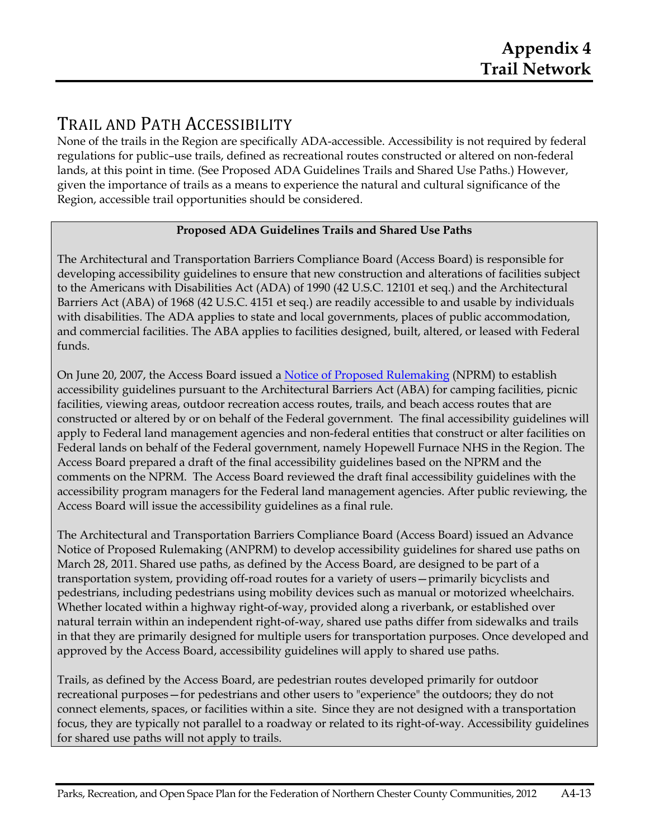# TRAIL AND PATH ACCESSIBILITY

None of the trails in the Region are specifically ADA-accessible. Accessibility is not required by federal regulations for public–use trails, defined as recreational routes constructed or altered on non-federal lands, at this point in time. (See Proposed ADA Guidelines Trails and Shared Use Paths.) However, given the importance of trails as a means to experience the natural and cultural significance of the Region, accessible trail opportunities should be considered.

### **Proposed ADA Guidelines Trails and Shared Use Paths**

The Architectural and Transportation Barriers Compliance Board (Access Board) is responsible for developing accessibility guidelines to ensure that new construction and alterations of facilities subject to the Americans with Disabilities Act (ADA) of 1990 (42 U.S.C. 12101 et seq.) and the Architectural Barriers Act (ABA) of 1968 (42 U.S.C. 4151 et seq.) are readily accessible to and usable by individuals with disabilities. The ADA applies to state and local governments, places of public accommodation, and commercial facilities. The ABA applies to facilities designed, built, altered, or leased with Federal funds.

On June 20, 2007, the Access Board issued a Notice of Proposed Rulemaking (NPRM) to establish accessibility guidelines pursuant to the Architectural Barriers Act (ABA) for camping facilities, picnic facilities, viewing areas, outdoor recreation access routes, trails, and beach access routes that are constructed or altered by or on behalf of the Federal government. The final accessibility guidelines will apply to Federal land management agencies and non-federal entities that construct or alter facilities on Federal lands on behalf of the Federal government, namely Hopewell Furnace NHS in the Region. The Access Board prepared a draft of the final accessibility guidelines based on the NPRM and the comments on the NPRM. The Access Board reviewed the draft final accessibility guidelines with the accessibility program managers for the Federal land management agencies. After public reviewing, the Access Board will issue the accessibility guidelines as a final rule.

The Architectural and Transportation Barriers Compliance Board (Access Board) issued an Advance Notice of Proposed Rulemaking (ANPRM) to develop accessibility guidelines for shared use paths on March 28, 2011. Shared use paths, as defined by the Access Board, are designed to be part of a transportation system, providing off-road routes for a variety of users—primarily bicyclists and pedestrians, including pedestrians using mobility devices such as manual or motorized wheelchairs. Whether located within a highway right-of-way, provided along a riverbank, or established over natural terrain within an independent right-of-way, shared use paths differ from sidewalks and trails in that they are primarily designed for multiple users for transportation purposes. Once developed and approved by the Access Board, accessibility guidelines will apply to shared use paths.

Trails, as defined by the Access Board, are pedestrian routes developed primarily for outdoor recreational purposes—for pedestrians and other users to "experience" the outdoors; they do not connect elements, spaces, or facilities within a site. Since they are not designed with a transportation focus, they are typically not parallel to a roadway or related to its right-of-way. Accessibility guidelines for shared use paths will not apply to trails.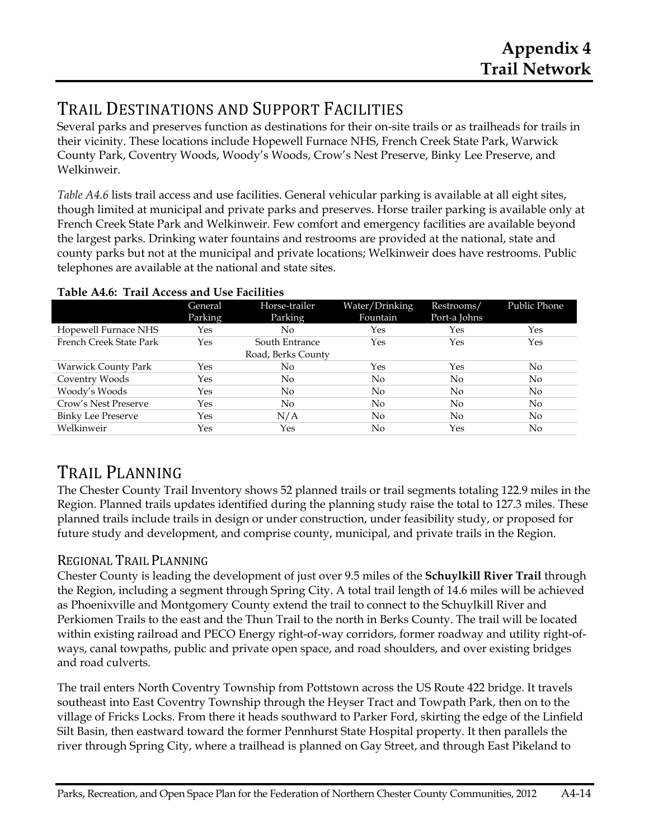# TRAIL DESTINATIONS AND SUPPORT FACILITIES

Several parks and preserves function as destinations for their on-site trails or as trailheads for trails in their vicinity. These locations include Hopewell Furnace NHS, French Creek State Park, Warwick County Park, Coventry Woods, Woody's Woods, Crow's Nest Preserve, Binky Lee Preserve, and Welkinweir.

*Table A4.6* lists trail access and use facilities. General vehicular parking is available at all eight sites, though limited at municipal and private parks and preserves. Horse trailer parking is available only at French Creek State Park and Welkinweir. Few comfort and emergency facilities are available beyond the largest parks. Drinking water fountains and restrooms are provided at the national, state and county parks but not at the municipal and private locations; Welkinweir does have restrooms. Public telephones are available at the national and state sites.

|                            | General<br>Parking | Horse-trailer<br>Parking | Water/Drinking<br>Fountain | Restrooms/<br>Port-a Johns | Public Phone   |
|----------------------------|--------------------|--------------------------|----------------------------|----------------------------|----------------|
| Hopewell Furnace NHS       | Yes                | No                       | Yes                        | Yes                        | Yes            |
| French Creek State Park    | Yes                | South Entrance           | Yes                        | Yes                        | Yes            |
|                            |                    | Road, Berks County       |                            |                            |                |
| <b>Warwick County Park</b> | Yes                | No.                      | Yes                        | Yes                        | $\overline{N}$ |
| Coventry Woods             | Yes                | No                       | No                         | No                         | No             |
| Woody's Woods              | Yes                | N <sub>0</sub>           | No                         | No                         | No             |
| Crow's Nest Preserve       | Yes                | No                       | No                         | No                         | No             |
| <b>Binky Lee Preserve</b>  | Yes                | N/A                      | No                         | No                         | No             |
| Welkinweir                 | Yes                | Yes                      | No                         | Yes                        | No             |

#### **Table A4.6: Trail Access and Use Facilities**

# TRAIL PLANNING

The Chester County Trail Inventory shows 52 planned trails or trail segments totaling 122.9 miles in the Region. Planned trails updates identified during the planning study raise the total to 127.3 miles. These planned trails include trails in design or under construction, under feasibility study, or proposed for future study and development, and comprise county, municipal, and private trails in the Region.

# REGIONAL TRAIL PLANNING

Chester County is leading the development of just over 9.5 miles of the **Schuylkill River Trail** through the Region, including a segment through Spring City. A total trail length of 14.6 miles will be achieved as Phoenixville and Montgomery County extend the trail to connect to the Schuylkill River and Perkiomen Trails to the east and the Thun Trail to the north in Berks County. The trail will be located within existing railroad and PECO Energy right-of-way corridors, former roadway and utility right-ofways, canal towpaths, public and private open space, and road shoulders, and over existing bridges and road culverts.

The trail enters North Coventry Township from Pottstown across the US Route 422 bridge. It travels southeast into East Coventry Township through the Heyser Tract and Towpath Park, then on to the village of Fricks Locks. From there it heads southward to Parker Ford, skirting the edge of the Linfield Silt Basin, then eastward toward the former Pennhurst State Hospital property. It then parallels the river through Spring City, where a trailhead is planned on Gay Street, and through East Pikeland to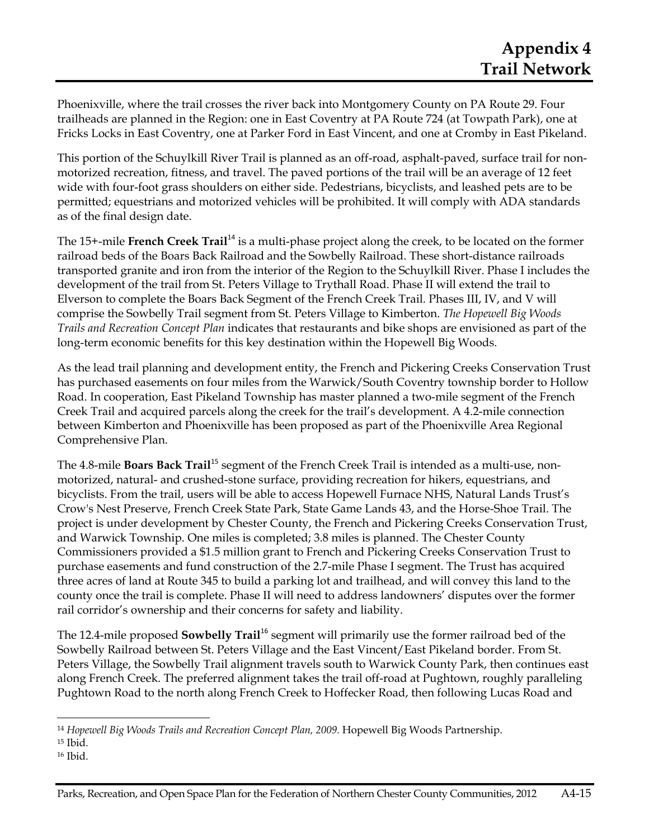Phoenixville, where the trail crosses the river back into Montgomery County on PA Route 29. Four trailheads are planned in the Region: one in East Coventry at PA Route 724 (at Towpath Park), one at Fricks Locks in East Coventry, one at Parker Ford in East Vincent, and one at Cromby in East Pikeland.

This portion of the Schuylkill River Trail is planned as an off-road, asphalt-paved, surface trail for nonmotorized recreation, fitness, and travel. The paved portions of the trail will be an average of 12 feet wide with four-foot grass shoulders on either side. Pedestrians, bicyclists, and leashed pets are to be permitted; equestrians and motorized vehicles will be prohibited. It will comply with ADA standards as of the final design date.

The 15+-mile **French Creek Trail**<sup>14</sup> is a multi-phase project along the creek, to be located on the former railroad beds of the Boars Back Railroad and the Sowbelly Railroad. These short-distance railroads transported granite and iron from the interior of the Region to the Schuylkill River. Phase I includes the development of the trail from St. Peters Village to Trythall Road. Phase II will extend the trail to Elverson to complete the Boars Back Segment of the French Creek Trail. Phases III, IV, and V will comprise the Sowbelly Trail segment from St. Peters Village to Kimberton. *The Hopewell Big Woods Trails and Recreation Concept Plan* indicates that restaurants and bike shops are envisioned as part of the long-term economic benefits for this key destination within the Hopewell Big Woods.

As the lead trail planning and development entity, the French and Pickering Creeks Conservation Trust has purchased easements on four miles from the Warwick/South Coventry township border to Hollow Road. In cooperation, East Pikeland Township has master planned a two-mile segment of the French Creek Trail and acquired parcels along the creek for the trail's development. A 4.2-mile connection between Kimberton and Phoenixville has been proposed as part of the Phoenixville Area Regional Comprehensive Plan.

The 4.8-mile **Boars Back Trail**<sup>15</sup> segment of the French Creek Trail is intended as a multi-use, nonmotorized, natural- and crushed-stone surface, providing recreation for hikers, equestrians, and bicyclists. From the trail, users will be able to access Hopewell Furnace NHS, Natural Lands Trust's Crow's Nest Preserve, French Creek State Park, State Game Lands 43, and the Horse-Shoe Trail. The project is under development by Chester County, the French and Pickering Creeks Conservation Trust, and Warwick Township. One miles is completed; 3.8 miles is planned. The Chester County Commissioners provided a \$1.5 million grant to French and Pickering Creeks Conservation Trust to purchase easements and fund construction of the 2.7-mile Phase I segment. The Trust has acquired three acres of land at Route 345 to build a parking lot and trailhead, and will convey this land to the county once the trail is complete. Phase II will need to address landowners' disputes over the former rail corridor's ownership and their concerns for safety and liability.

The 12.4-mile proposed **Sowbelly Trail**<sup>16</sup> segment will primarily use the former railroad bed of the Sowbelly Railroad between St. Peters Village and the East Vincent/East Pikeland border. From St. Peters Village, the Sowbelly Trail alignment travels south to Warwick County Park, then continues east along French Creek. The preferred alignment takes the trail off-road at Pughtown, roughly paralleling Pughtown Road to the north along French Creek to Hoffecker Road, then following Lucas Road and

<u> 1989 - Johann Stein, marwolaethau a bh</u>

<sup>14</sup> *Hopewell Big Woods Trails and Recreation Concept Plan, 2009.* Hopewell Big Woods Partnership.

<sup>15</sup> Ibid.

<sup>16</sup> Ibid.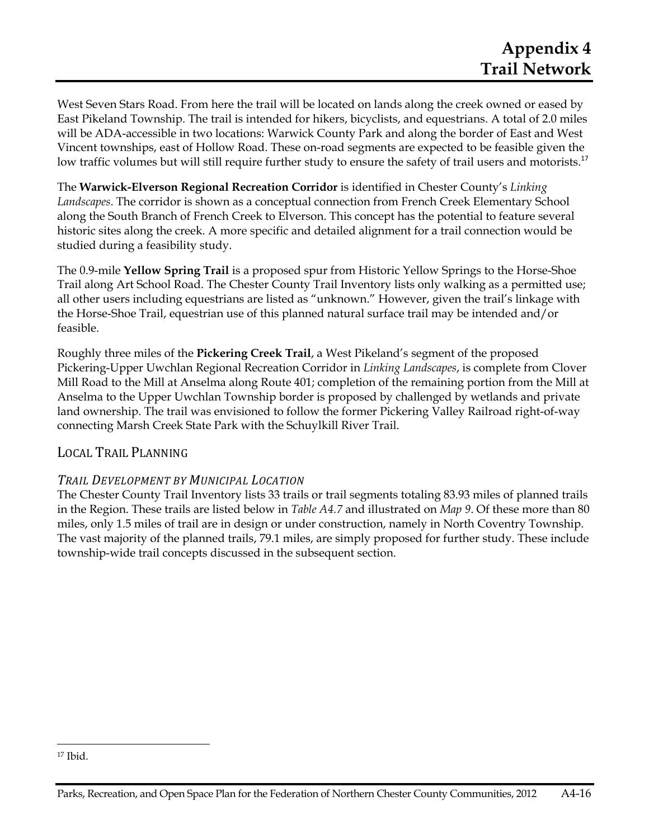West Seven Stars Road. From here the trail will be located on lands along the creek owned or eased by East Pikeland Township. The trail is intended for hikers, bicyclists, and equestrians. A total of 2.0 miles will be ADA-accessible in two locations: Warwick County Park and along the border of East and West Vincent townships, east of Hollow Road. These on-road segments are expected to be feasible given the low traffic volumes but will still require further study to ensure the safety of trail users and motorists.<sup>17</sup>

The **Warwick-Elverson Regional Recreation Corridor** is identified in Chester County's *Linking Landscapes*. The corridor is shown as a conceptual connection from French Creek Elementary School along the South Branch of French Creek to Elverson. This concept has the potential to feature several historic sites along the creek. A more specific and detailed alignment for a trail connection would be studied during a feasibility study.

The 0.9-mile **Yellow Spring Trail** is a proposed spur from Historic Yellow Springs to the Horse-Shoe Trail along Art School Road. The Chester County Trail Inventory lists only walking as a permitted use; all other users including equestrians are listed as "unknown." However, given the trail's linkage with the Horse-Shoe Trail, equestrian use of this planned natural surface trail may be intended and/or feasible.

Roughly three miles of the **Pickering Creek Trail**, a West Pikeland's segment of the proposed Pickering-Upper Uwchlan Regional Recreation Corridor in *Linking Landscapes*, is complete from Clover Mill Road to the Mill at Anselma along Route 401; completion of the remaining portion from the Mill at Anselma to the Upper Uwchlan Township border is proposed by challenged by wetlands and private land ownership. The trail was envisioned to follow the former Pickering Valley Railroad right-of-way connecting Marsh Creek State Park with the Schuylkill River Trail.

### LOCAL TRAIL PLANNING

### *TRAIL DEVELOPMENT BY MUNICIPAL LOCATION*

The Chester County Trail Inventory lists 33 trails or trail segments totaling 83.93 miles of planned trails in the Region. These trails are listed below in *Table A4.7* and illustrated on *Map 9*. Of these more than 80 miles, only 1.5 miles of trail are in design or under construction, namely in North Coventry Township. The vast majority of the planned trails, 79.1 miles, are simply proposed for further study. These include township-wide trail concepts discussed in the subsequent section.

<sup>17</sup> Ibid.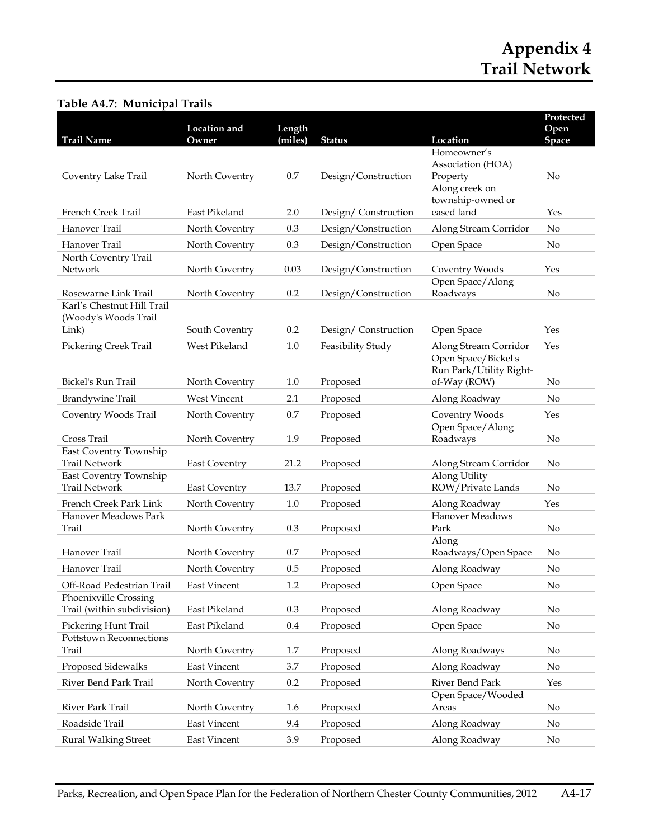#### **Trail Name Location and Owner Length (miles) Status Location Protected Open Space**  Coventry Lake Trail North Coventry 0.7 Design/Construction Homeowner's Association (HOA) Property No French Creek Trail East Pikeland 2.0 Design/ Construction Along creek on township-owned or eased land Yes Hanover Trail North Coventry 0.3 Design/Construction Along Stream Corridor No Hanover Trail **North Coventry** 0.3 Design/Construction Open Space No North Coventry Trail Network North Coventry 0.03 Design/Construction Coventry Woods Yes Rosewarne Link Trail North Coventry 0.2 Design/Construction Open Space/Along Roadways No Karl's Chestnut Hill Trail (Woody's Woods Trail Link) South Coventry 0.2 Design/ Construction Open Space Yes Pickering Creek Trail West Pikeland 1.0 Feasibility Study Along Stream Corridor Yes Bickel's Run Trail North Coventry 1.0 Proposed Open Space/Bickel's Run Park/Utility Rightof-Way (ROW) No Brandywine Trail West Vincent 2.1 Proposed Along Roadway No Coventry Woods Trail North Coventry 0.7 Proposed Coventry Woods Yes Cross Trail North Coventry 1.9 Proposed Open Space/Along Roadways No East Coventry Township Trail Network East Coventry 21.2 Proposed Along Stream Corridor No East Coventry Township Trail Network East Coventry 13.7 Proposed Along Utility ROW/Private Lands No French Creek Park Link North Coventry 1.0 Proposed Along Roadway Yes Hanover Meadows Park Trail North Coventry 0.3 Proposed Hanover Meadows Park No Hanover Trail North Coventry 0.7 Proposed Along Roadways/Open Space No Hanover Trail **North Coventry** 0.5 Proposed Along Roadway No Off-Road Pedestrian Trail East Vincent 1.2 Proposed Open Space No Phoenixville Crossing Trail (within subdivision) East Pikeland 0.3 Proposed Along Roadway No Pickering Hunt Trail East Pikeland 0.4 Proposed Open Space No Pottstown Reconnections Trail **North Coventry** 1.7 Proposed Along Roadways No Proposed Sidewalks East Vincent 3.7 Proposed Along Roadway No River Bend Park Trail North Coventry 0.2 Proposed River Bend Park Yes River Park Trail North Coventry 1.6 Proposed Open Space/Wooded Areas No Roadside Trail **East Vincent** 9.4 Proposed Along Roadway No Rural Walking Street East Vincent 3.9 Proposed Along Roadway No

#### **Table A4.7: Municipal Trails**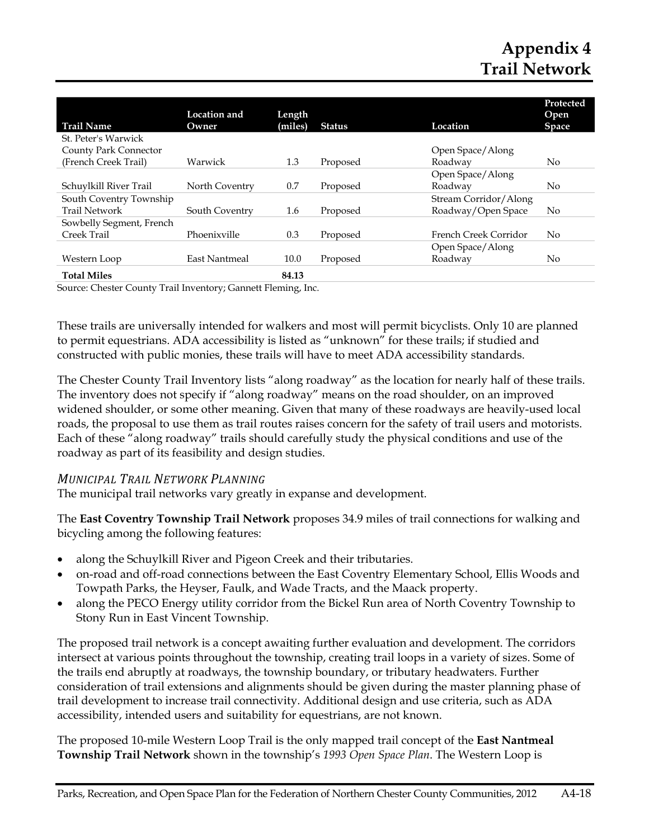# **Appendix 4 Trail Network**

| <b>Trail Name</b>        | Location and<br>Owner | Length<br>(miles) | <b>Status</b> | Location              | Protected<br>Open<br><b>Space</b> |
|--------------------------|-----------------------|-------------------|---------------|-----------------------|-----------------------------------|
| St. Peter's Warwick      |                       |                   |               |                       |                                   |
| County Park Connector    |                       |                   |               | Open Space/Along      |                                   |
| (French Creek Trail)     | Warwick               | 1.3               | Proposed      | Roadway               | No                                |
|                          |                       |                   |               | Open Space/Along      |                                   |
| Schuylkill River Trail   | North Coventry        | 0.7               | Proposed      | Roadway               | No                                |
| South Coventry Township  |                       |                   |               | Stream Corridor/Along |                                   |
| <b>Trail Network</b>     | South Coventry        | 1.6               | Proposed      | Roadway/Open Space    | No                                |
| Sowbelly Segment, French |                       |                   |               |                       |                                   |
| Creek Trail              | Phoenixville          | 0.3               | Proposed      | French Creek Corridor | No.                               |
|                          |                       |                   |               | Open Space/Along      |                                   |
| Western Loop             | <b>East Nantmeal</b>  | 10.0              | Proposed      | Roadway               | No                                |
| <b>Total Miles</b>       |                       | 84.13             |               |                       |                                   |

Source: Chester County Trail Inventory; Gannett Fleming, Inc.

These trails are universally intended for walkers and most will permit bicyclists. Only 10 are planned to permit equestrians. ADA accessibility is listed as "unknown" for these trails; if studied and constructed with public monies, these trails will have to meet ADA accessibility standards.

The Chester County Trail Inventory lists "along roadway" as the location for nearly half of these trails. The inventory does not specify if "along roadway" means on the road shoulder, on an improved widened shoulder, or some other meaning. Given that many of these roadways are heavily-used local roads, the proposal to use them as trail routes raises concern for the safety of trail users and motorists. Each of these "along roadway" trails should carefully study the physical conditions and use of the roadway as part of its feasibility and design studies.

#### *MUNICIPAL TRAIL NETWORK PLANNING*

The municipal trail networks vary greatly in expanse and development.

The **East Coventry Township Trail Network** proposes 34.9 miles of trail connections for walking and bicycling among the following features:

- along the Schuylkill River and Pigeon Creek and their tributaries.
- on-road and off-road connections between the East Coventry Elementary School, Ellis Woods and Towpath Parks, the Heyser, Faulk, and Wade Tracts, and the Maack property.
- along the PECO Energy utility corridor from the Bickel Run area of North Coventry Township to Stony Run in East Vincent Township.

The proposed trail network is a concept awaiting further evaluation and development. The corridors intersect at various points throughout the township, creating trail loops in a variety of sizes. Some of the trails end abruptly at roadways, the township boundary, or tributary headwaters. Further consideration of trail extensions and alignments should be given during the master planning phase of trail development to increase trail connectivity. Additional design and use criteria, such as ADA accessibility, intended users and suitability for equestrians, are not known.

The proposed 10-mile Western Loop Trail is the only mapped trail concept of the **East Nantmeal Township Trail Network** shown in the township's *1993 Open Space Plan*. The Western Loop is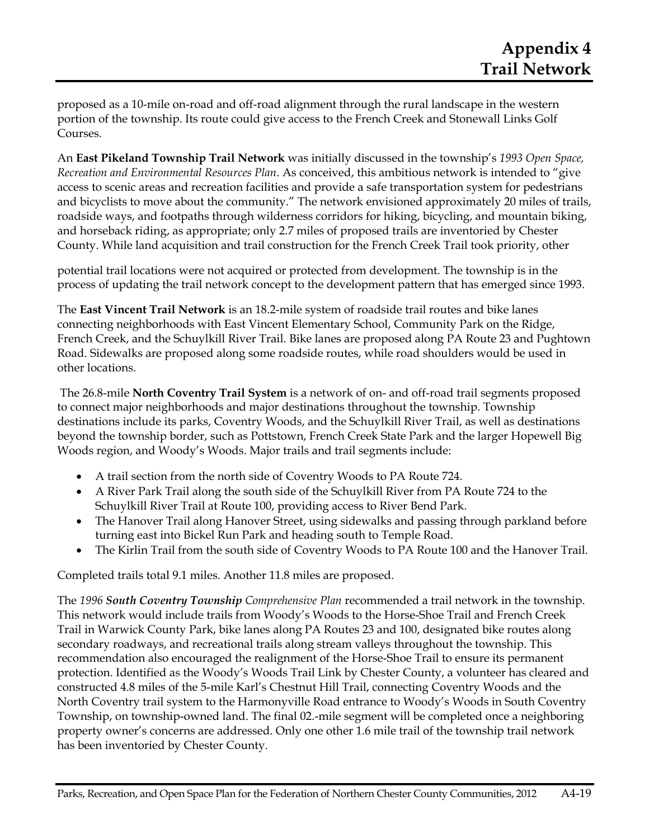proposed as a 10-mile on-road and off-road alignment through the rural landscape in the western portion of the township. Its route could give access to the French Creek and Stonewall Links Golf Courses.

An **East Pikeland Township Trail Network** was initially discussed in the township's *1993 Open Space, Recreation and Environmental Resources Plan*. As conceived, this ambitious network is intended to "give access to scenic areas and recreation facilities and provide a safe transportation system for pedestrians and bicyclists to move about the community." The network envisioned approximately 20 miles of trails, roadside ways, and footpaths through wilderness corridors for hiking, bicycling, and mountain biking, and horseback riding, as appropriate; only 2.7 miles of proposed trails are inventoried by Chester County. While land acquisition and trail construction for the French Creek Trail took priority, other

potential trail locations were not acquired or protected from development. The township is in the process of updating the trail network concept to the development pattern that has emerged since 1993.

The **East Vincent Trail Network** is an 18.2-mile system of roadside trail routes and bike lanes connecting neighborhoods with East Vincent Elementary School, Community Park on the Ridge, French Creek, and the Schuylkill River Trail. Bike lanes are proposed along PA Route 23 and Pughtown Road. Sidewalks are proposed along some roadside routes, while road shoulders would be used in other locations.

 The 26.8-mile **North Coventry Trail System** is a network of on- and off-road trail segments proposed to connect major neighborhoods and major destinations throughout the township. Township destinations include its parks, Coventry Woods, and the Schuylkill River Trail, as well as destinations beyond the township border, such as Pottstown, French Creek State Park and the larger Hopewell Big Woods region, and Woody's Woods. Major trails and trail segments include:

- A trail section from the north side of Coventry Woods to PA Route 724.
- A River Park Trail along the south side of the Schuylkill River from PA Route 724 to the Schuylkill River Trail at Route 100, providing access to River Bend Park.
- The Hanover Trail along Hanover Street, using sidewalks and passing through parkland before turning east into Bickel Run Park and heading south to Temple Road.
- The Kirlin Trail from the south side of Coventry Woods to PA Route 100 and the Hanover Trail.

Completed trails total 9.1 miles. Another 11.8 miles are proposed.

The *1996 South Coventry Township Comprehensive Plan* recommended a trail network in the township. This network would include trails from Woody's Woods to the Horse-Shoe Trail and French Creek Trail in Warwick County Park, bike lanes along PA Routes 23 and 100, designated bike routes along secondary roadways, and recreational trails along stream valleys throughout the township. This recommendation also encouraged the realignment of the Horse-Shoe Trail to ensure its permanent protection. Identified as the Woody's Woods Trail Link by Chester County, a volunteer has cleared and constructed 4.8 miles of the 5-mile Karl's Chestnut Hill Trail, connecting Coventry Woods and the North Coventry trail system to the Harmonyville Road entrance to Woody's Woods in South Coventry Township, on township-owned land. The final 02.-mile segment will be completed once a neighboring property owner's concerns are addressed. Only one other 1.6 mile trail of the township trail network has been inventoried by Chester County.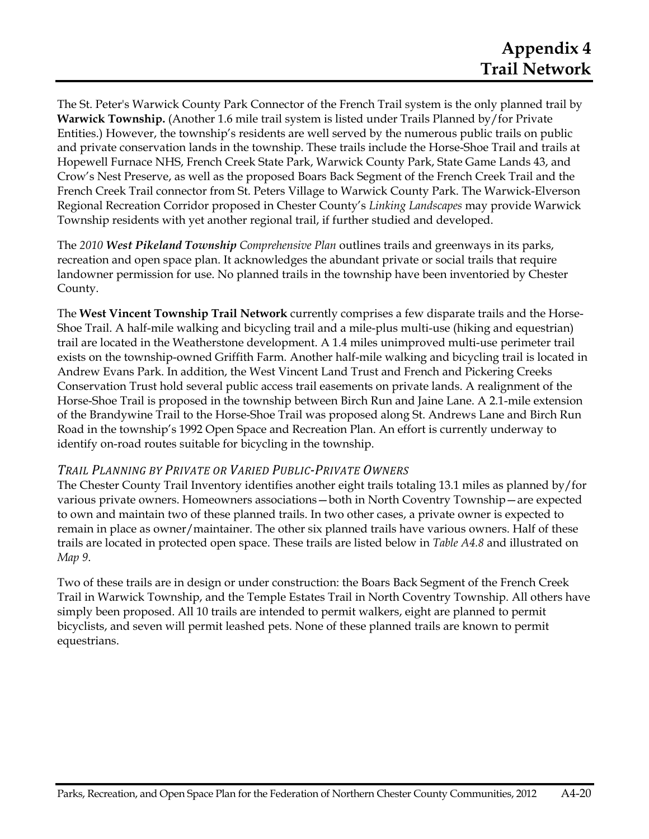The St. Peter's Warwick County Park Connector of the French Trail system is the only planned trail by **Warwick Township.** (Another 1.6 mile trail system is listed under Trails Planned by/for Private Entities.) However, the township's residents are well served by the numerous public trails on public and private conservation lands in the township. These trails include the Horse-Shoe Trail and trails at Hopewell Furnace NHS, French Creek State Park, Warwick County Park, State Game Lands 43, and Crow's Nest Preserve, as well as the proposed Boars Back Segment of the French Creek Trail and the French Creek Trail connector from St. Peters Village to Warwick County Park. The Warwick-Elverson Regional Recreation Corridor proposed in Chester County's *Linking Landscapes* may provide Warwick Township residents with yet another regional trail, if further studied and developed.

The *2010 West Pikeland Township Comprehensive Plan* outlines trails and greenways in its parks, recreation and open space plan. It acknowledges the abundant private or social trails that require landowner permission for use. No planned trails in the township have been inventoried by Chester County.

The **West Vincent Township Trail Network** currently comprises a few disparate trails and the Horse-Shoe Trail. A half-mile walking and bicycling trail and a mile-plus multi-use (hiking and equestrian) trail are located in the Weatherstone development. A 1.4 miles unimproved multi-use perimeter trail exists on the township-owned Griffith Farm. Another half-mile walking and bicycling trail is located in Andrew Evans Park. In addition, the West Vincent Land Trust and French and Pickering Creeks Conservation Trust hold several public access trail easements on private lands. A realignment of the Horse-Shoe Trail is proposed in the township between Birch Run and Jaine Lane. A 2.1-mile extension of the Brandywine Trail to the Horse-Shoe Trail was proposed along St. Andrews Lane and Birch Run Road in the township's 1992 Open Space and Recreation Plan. An effort is currently underway to identify on-road routes suitable for bicycling in the township.

#### *TRAIL PLANNING BY PRIVATE OR VARIED PUBLICPRIVATE OWNERS*

The Chester County Trail Inventory identifies another eight trails totaling 13.1 miles as planned by/for various private owners. Homeowners associations—both in North Coventry Township—are expected to own and maintain two of these planned trails. In two other cases, a private owner is expected to remain in place as owner/maintainer. The other six planned trails have various owners. Half of these trails are located in protected open space. These trails are listed below in *Table A4.8* and illustrated on *Map 9*.

Two of these trails are in design or under construction: the Boars Back Segment of the French Creek Trail in Warwick Township, and the Temple Estates Trail in North Coventry Township. All others have simply been proposed. All 10 trails are intended to permit walkers, eight are planned to permit bicyclists, and seven will permit leashed pets. None of these planned trails are known to permit equestrians.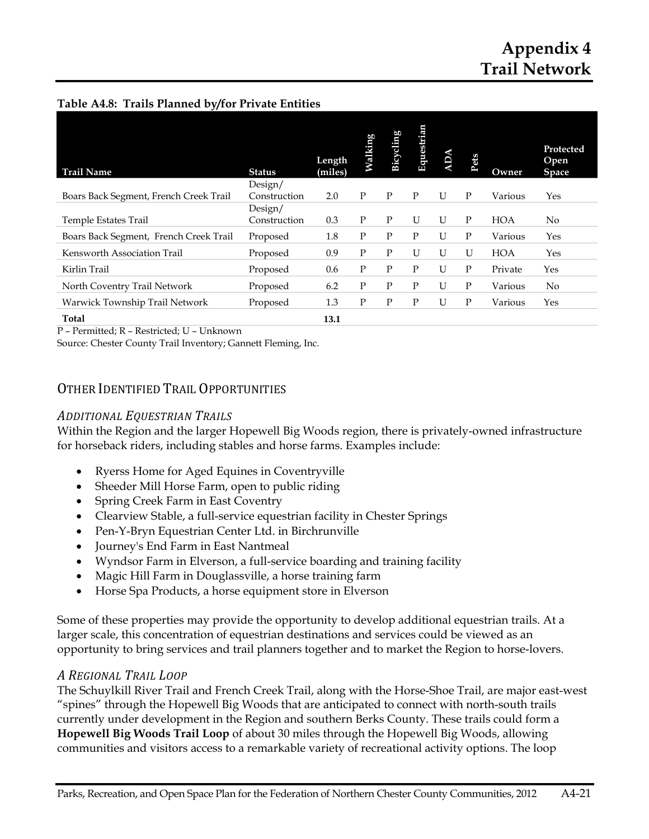#### **Table A4.8: Trails Planned by/for Private Entities**

| <b>Trail Name</b>                      | <b>Status</b> | Length<br>(miles) | Walking | Bicycling | Equestrian | ADA | Pets | Owner      | Protected<br>Open<br><b>Space</b> |
|----------------------------------------|---------------|-------------------|---------|-----------|------------|-----|------|------------|-----------------------------------|
|                                        | Design/       |                   |         |           |            |     |      |            |                                   |
| Boars Back Segment, French Creek Trail | Construction  | 2.0               | P       | P         | P          | U   | P    | Various    | Yes                               |
|                                        | Design/       |                   |         |           |            |     |      |            |                                   |
| Temple Estates Trail                   | Construction  | 0.3               | Ρ       | P         | U          | U   | P    | <b>HOA</b> | No.                               |
| Boars Back Segment, French Creek Trail | Proposed      | 1.8               | Ρ       | P         | P          | U   | P    | Various    | Yes                               |
| Kensworth Association Trail            | Proposed      | 0.9               | Ρ       | P         | U          | U   | U    | <b>HOA</b> | Yes                               |
| Kirlin Trail                           | Proposed      | 0.6               | P       | P         | P          | U   | P    | Private    | Yes                               |
| North Coventry Trail Network           | Proposed      | 6.2               | P       | P         | P          | U   | P    | Various    | N <sub>o</sub>                    |
| Warwick Township Trail Network         | Proposed      | 1.3               | P       | P         | P          | U   | P    | Various    | Yes                               |
| Total                                  |               | 13.1              |         |           |            |     |      |            |                                   |

P – Permitted; R – Restricted; U – Unknown

Source: Chester County Trail Inventory; Gannett Fleming, Inc.

### OTHER IDENTIFIED TRAIL OPPORTUNITIES

#### *ADDITIONAL EQUESTRIAN TRAILS*

Within the Region and the larger Hopewell Big Woods region, there is privately-owned infrastructure for horseback riders, including stables and horse farms. Examples include:

- Ryerss Home for Aged Equines in Coventryville
- Sheeder Mill Horse Farm, open to public riding
- Spring Creek Farm in East Coventry
- Clearview Stable, a full-service equestrian facility in Chester Springs
- Pen-Y-Bryn Equestrian Center Ltd. in Birchrunville
- Journey's End Farm in East Nantmeal
- Wyndsor Farm in Elverson, a full-service boarding and training facility
- Magic Hill Farm in Douglassville, a horse training farm
- Horse Spa Products, a horse equipment store in Elverson

Some of these properties may provide the opportunity to develop additional equestrian trails. At a larger scale, this concentration of equestrian destinations and services could be viewed as an opportunity to bring services and trail planners together and to market the Region to horse-lovers.

#### *A REGIONAL TRAIL LOOP*

The Schuylkill River Trail and French Creek Trail, along with the Horse-Shoe Trail, are major east-west "spines" through the Hopewell Big Woods that are anticipated to connect with north-south trails currently under development in the Region and southern Berks County. These trails could form a **Hopewell Big Woods Trail Loop** of about 30 miles through the Hopewell Big Woods, allowing communities and visitors access to a remarkable variety of recreational activity options. The loop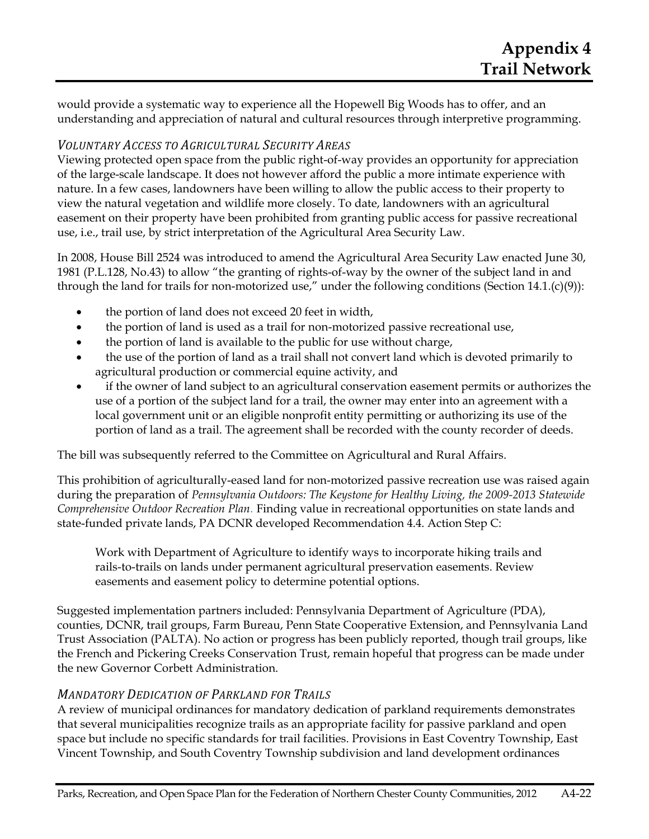would provide a systematic way to experience all the Hopewell Big Woods has to offer, and an understanding and appreciation of natural and cultural resources through interpretive programming.

### *VOLUNTARY ACCESS TO AGRICULTURAL SECURITY AREAS*

Viewing protected open space from the public right-of-way provides an opportunity for appreciation of the large-scale landscape. It does not however afford the public a more intimate experience with nature. In a few cases, landowners have been willing to allow the public access to their property to view the natural vegetation and wildlife more closely. To date, landowners with an agricultural easement on their property have been prohibited from granting public access for passive recreational use, i.e., trail use, by strict interpretation of the Agricultural Area Security Law.

In 2008, House Bill 2524 was introduced to amend the Agricultural Area Security Law enacted June 30, 1981 (P.L.128, No.43) to allow "the granting of rights-of-way by the owner of the subject land in and through the land for trails for non-motorized use," under the following conditions (Section 14.1.(c)(9)):

- the portion of land does not exceed 20 feet in width,
- the portion of land is used as a trail for non-motorized passive recreational use,
- the portion of land is available to the public for use without charge,
- the use of the portion of land as a trail shall not convert land which is devoted primarily to agricultural production or commercial equine activity, and
- if the owner of land subject to an agricultural conservation easement permits or authorizes the use of a portion of the subject land for a trail, the owner may enter into an agreement with a local government unit or an eligible nonprofit entity permitting or authorizing its use of the portion of land as a trail. The agreement shall be recorded with the county recorder of deeds.

The bill was subsequently referred to the Committee on Agricultural and Rural Affairs.

This prohibition of agriculturally-eased land for non-motorized passive recreation use was raised again during the preparation of *Pennsylvania Outdoors: The Keystone for Healthy Living, the 2009-2013 Statewide Comprehensive Outdoor Recreation Plan*. Finding value in recreational opportunities on state lands and state-funded private lands, PA DCNR developed Recommendation 4.4. Action Step C:

Work with Department of Agriculture to identify ways to incorporate hiking trails and rails-to-trails on lands under permanent agricultural preservation easements. Review easements and easement policy to determine potential options.

Suggested implementation partners included: Pennsylvania Department of Agriculture (PDA), counties, DCNR, trail groups, Farm Bureau, Penn State Cooperative Extension, and Pennsylvania Land Trust Association (PALTA). No action or progress has been publicly reported, though trail groups, like the French and Pickering Creeks Conservation Trust, remain hopeful that progress can be made under the new Governor Corbett Administration.

### *MANDATORY DEDICATION OF PARKLAND FOR TRAILS*

A review of municipal ordinances for mandatory dedication of parkland requirements demonstrates that several municipalities recognize trails as an appropriate facility for passive parkland and open space but include no specific standards for trail facilities. Provisions in East Coventry Township, East Vincent Township, and South Coventry Township subdivision and land development ordinances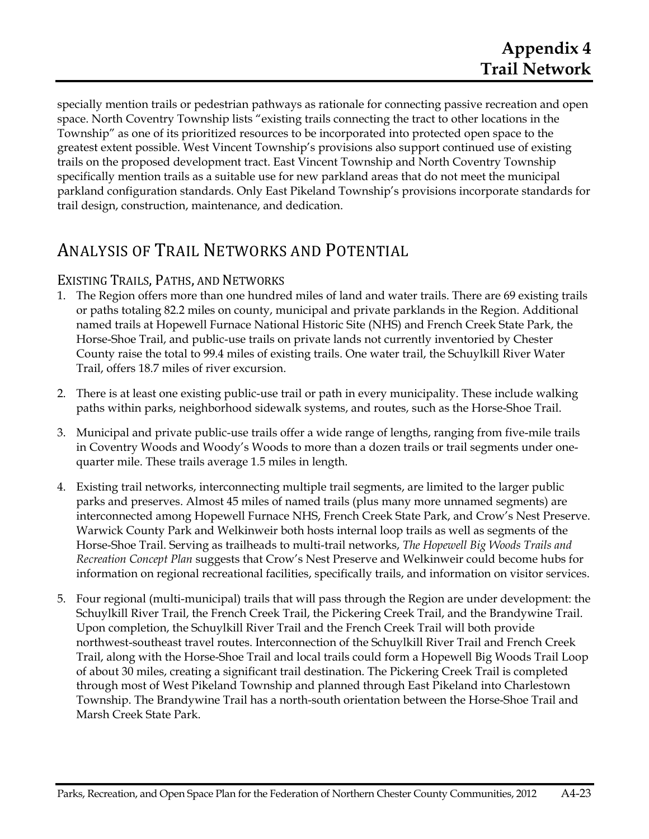specially mention trails or pedestrian pathways as rationale for connecting passive recreation and open space. North Coventry Township lists "existing trails connecting the tract to other locations in the Township" as one of its prioritized resources to be incorporated into protected open space to the greatest extent possible. West Vincent Township's provisions also support continued use of existing trails on the proposed development tract. East Vincent Township and North Coventry Township specifically mention trails as a suitable use for new parkland areas that do not meet the municipal parkland configuration standards. Only East Pikeland Township's provisions incorporate standards for trail design, construction, maintenance, and dedication.

# ANALYSIS OF TRAIL NETWORKS AND POTENTIAL

### EXISTING TRAILS, PATHS, AND NETWORKS

- 1. The Region offers more than one hundred miles of land and water trails. There are 69 existing trails or paths totaling 82.2 miles on county, municipal and private parklands in the Region. Additional named trails at Hopewell Furnace National Historic Site (NHS) and French Creek State Park, the Horse-Shoe Trail, and public-use trails on private lands not currently inventoried by Chester County raise the total to 99.4 miles of existing trails. One water trail, the Schuylkill River Water Trail, offers 18.7 miles of river excursion.
- 2. There is at least one existing public-use trail or path in every municipality. These include walking paths within parks, neighborhood sidewalk systems, and routes, such as the Horse-Shoe Trail.
- 3. Municipal and private public-use trails offer a wide range of lengths, ranging from five-mile trails in Coventry Woods and Woody's Woods to more than a dozen trails or trail segments under onequarter mile. These trails average 1.5 miles in length.
- 4. Existing trail networks, interconnecting multiple trail segments, are limited to the larger public parks and preserves. Almost 45 miles of named trails (plus many more unnamed segments) are interconnected among Hopewell Furnace NHS, French Creek State Park, and Crow's Nest Preserve. Warwick County Park and Welkinweir both hosts internal loop trails as well as segments of the Horse-Shoe Trail. Serving as trailheads to multi-trail networks, *The Hopewell Big Woods Trails and Recreation Concept Plan* suggests that Crow's Nest Preserve and Welkinweir could become hubs for information on regional recreational facilities, specifically trails, and information on visitor services.
- 5. Four regional (multi-municipal) trails that will pass through the Region are under development: the Schuylkill River Trail, the French Creek Trail, the Pickering Creek Trail, and the Brandywine Trail. Upon completion, the Schuylkill River Trail and the French Creek Trail will both provide northwest-southeast travel routes. Interconnection of the Schuylkill River Trail and French Creek Trail, along with the Horse-Shoe Trail and local trails could form a Hopewell Big Woods Trail Loop of about 30 miles, creating a significant trail destination. The Pickering Creek Trail is completed through most of West Pikeland Township and planned through East Pikeland into Charlestown Township. The Brandywine Trail has a north-south orientation between the Horse-Shoe Trail and Marsh Creek State Park.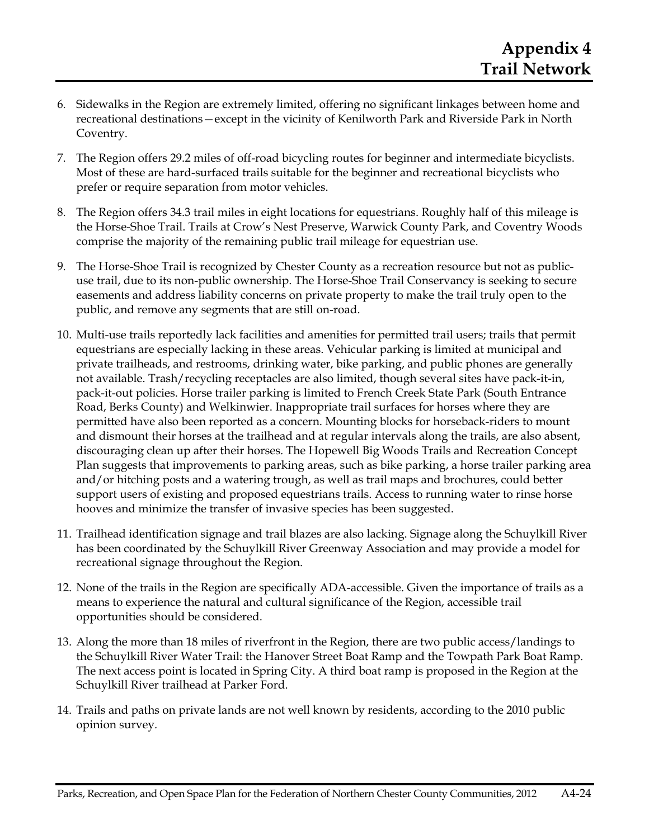- 6. Sidewalks in the Region are extremely limited, offering no significant linkages between home and recreational destinations—except in the vicinity of Kenilworth Park and Riverside Park in North Coventry.
- 7. The Region offers 29.2 miles of off-road bicycling routes for beginner and intermediate bicyclists. Most of these are hard-surfaced trails suitable for the beginner and recreational bicyclists who prefer or require separation from motor vehicles.
- 8. The Region offers 34.3 trail miles in eight locations for equestrians. Roughly half of this mileage is the Horse-Shoe Trail. Trails at Crow's Nest Preserve, Warwick County Park, and Coventry Woods comprise the majority of the remaining public trail mileage for equestrian use.
- 9. The Horse-Shoe Trail is recognized by Chester County as a recreation resource but not as publicuse trail, due to its non-public ownership. The Horse-Shoe Trail Conservancy is seeking to secure easements and address liability concerns on private property to make the trail truly open to the public, and remove any segments that are still on-road.
- 10. Multi-use trails reportedly lack facilities and amenities for permitted trail users; trails that permit equestrians are especially lacking in these areas. Vehicular parking is limited at municipal and private trailheads, and restrooms, drinking water, bike parking, and public phones are generally not available. Trash/recycling receptacles are also limited, though several sites have pack-it-in, pack-it-out policies. Horse trailer parking is limited to French Creek State Park (South Entrance Road, Berks County) and Welkinwier. Inappropriate trail surfaces for horses where they are permitted have also been reported as a concern. Mounting blocks for horseback-riders to mount and dismount their horses at the trailhead and at regular intervals along the trails, are also absent, discouraging clean up after their horses. The Hopewell Big Woods Trails and Recreation Concept Plan suggests that improvements to parking areas, such as bike parking, a horse trailer parking area and/or hitching posts and a watering trough, as well as trail maps and brochures, could better support users of existing and proposed equestrians trails. Access to running water to rinse horse hooves and minimize the transfer of invasive species has been suggested.
- 11. Trailhead identification signage and trail blazes are also lacking. Signage along the Schuylkill River has been coordinated by the Schuylkill River Greenway Association and may provide a model for recreational signage throughout the Region.
- 12. None of the trails in the Region are specifically ADA-accessible. Given the importance of trails as a means to experience the natural and cultural significance of the Region, accessible trail opportunities should be considered.
- 13. Along the more than 18 miles of riverfront in the Region, there are two public access/landings to the Schuylkill River Water Trail: the Hanover Street Boat Ramp and the Towpath Park Boat Ramp. The next access point is located in Spring City. A third boat ramp is proposed in the Region at the Schuylkill River trailhead at Parker Ford.
- 14. Trails and paths on private lands are not well known by residents, according to the 2010 public opinion survey.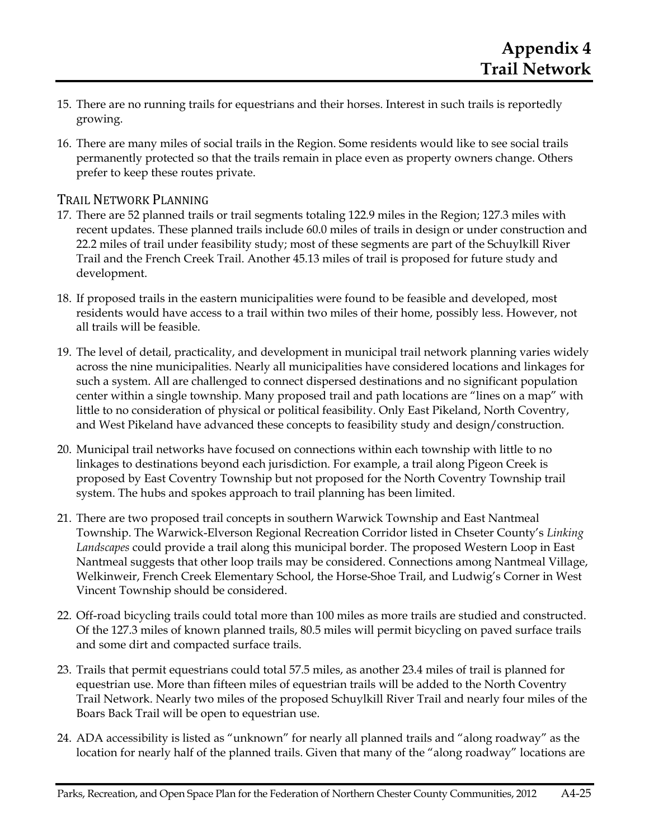- 15. There are no running trails for equestrians and their horses. Interest in such trails is reportedly growing.
- 16. There are many miles of social trails in the Region. Some residents would like to see social trails permanently protected so that the trails remain in place even as property owners change. Others prefer to keep these routes private.

### TRAIL NETWORK PLANNING

- 17. There are 52 planned trails or trail segments totaling 122.9 miles in the Region; 127.3 miles with recent updates. These planned trails include 60.0 miles of trails in design or under construction and 22.2 miles of trail under feasibility study; most of these segments are part of the Schuylkill River Trail and the French Creek Trail. Another 45.13 miles of trail is proposed for future study and development.
- 18. If proposed trails in the eastern municipalities were found to be feasible and developed, most residents would have access to a trail within two miles of their home, possibly less. However, not all trails will be feasible.
- 19. The level of detail, practicality, and development in municipal trail network planning varies widely across the nine municipalities. Nearly all municipalities have considered locations and linkages for such a system. All are challenged to connect dispersed destinations and no significant population center within a single township. Many proposed trail and path locations are "lines on a map" with little to no consideration of physical or political feasibility. Only East Pikeland, North Coventry, and West Pikeland have advanced these concepts to feasibility study and design/construction.
- 20. Municipal trail networks have focused on connections within each township with little to no linkages to destinations beyond each jurisdiction. For example, a trail along Pigeon Creek is proposed by East Coventry Township but not proposed for the North Coventry Township trail system. The hubs and spokes approach to trail planning has been limited.
- 21. There are two proposed trail concepts in southern Warwick Township and East Nantmeal Township. The Warwick-Elverson Regional Recreation Corridor listed in Chseter County's *Linking Landscapes* could provide a trail along this municipal border. The proposed Western Loop in East Nantmeal suggests that other loop trails may be considered. Connections among Nantmeal Village, Welkinweir, French Creek Elementary School, the Horse-Shoe Trail, and Ludwig's Corner in West Vincent Township should be considered.
- 22. Off-road bicycling trails could total more than 100 miles as more trails are studied and constructed. Of the 127.3 miles of known planned trails, 80.5 miles will permit bicycling on paved surface trails and some dirt and compacted surface trails.
- 23. Trails that permit equestrians could total 57.5 miles, as another 23.4 miles of trail is planned for equestrian use. More than fifteen miles of equestrian trails will be added to the North Coventry Trail Network. Nearly two miles of the proposed Schuylkill River Trail and nearly four miles of the Boars Back Trail will be open to equestrian use.
- 24. ADA accessibility is listed as "unknown" for nearly all planned trails and "along roadway" as the location for nearly half of the planned trails. Given that many of the "along roadway" locations are